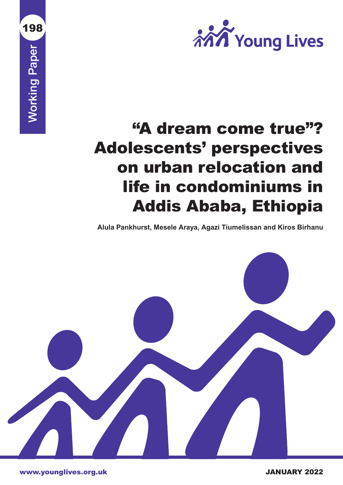

# "A dream come true"? Adolescents' perspectives on urban relocation and life in condominiums in Addis Ababa, Ethiopia

**Alula Pankhurst, Mesele Araya, Agazi Tiumelissan and Kiros Birhanu**



www.younglives.org.uk JANUARY 2022

Working Paper

**Working Paper** 

198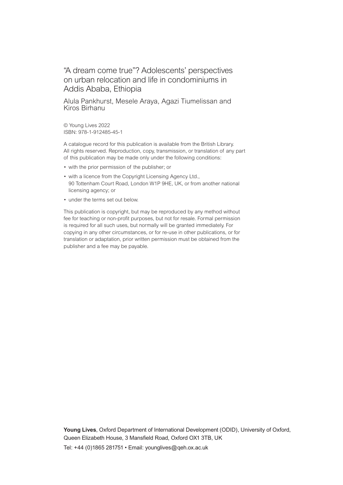### "A dream come true"? Adolescents' perspectives on urban relocation and life in condominiums in Addis Ababa, Ethiopia

Alula Pankhurst, Mesele Araya, Agazi Tiumelissan and Kiros Birhanu

© Young Lives 2022 ISBN: 978-1-912485-45-1

A catalogue record for this publication is available from the British Library. All rights reserved. Reproduction, copy, transmission, or translation of any part of this publication may be made only under the following conditions:

- with the prior permission of the publisher; or
- with a licence from the Copyright Licensing Agency Ltd., 90 Tottenham Court Road, London W1P 9HE, UK, or from another national licensing agency; or
- under the terms set out below.

This publication is copyright, but may be reproduced by any method without fee for teaching or non-profit purposes, but not for resale. Formal permission is required for all such uses, but normally will be granted immediately. For copying in any other circumstances, or for re-use in other publications, or for translation or adaptation, prior written permission must be obtained from the publisher and a fee may be payable.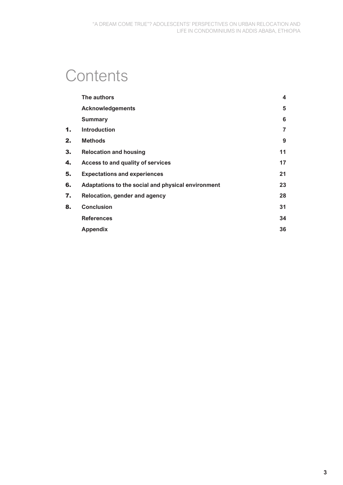# **Contents**

|    | The authors                                        | 4  |
|----|----------------------------------------------------|----|
|    | <b>Acknowledgements</b>                            | 5  |
|    | <b>Summary</b>                                     | 6  |
| 1. | <b>Introduction</b>                                | 7  |
| 2. | <b>Methods</b>                                     | 9  |
| 3. | <b>Relocation and housing</b>                      | 11 |
| 4. | Access to and quality of services                  | 17 |
| 5. | <b>Expectations and experiences</b>                | 21 |
| 6. | Adaptations to the social and physical environment | 23 |
| 7. | Relocation, gender and agency                      | 28 |
| 8. | <b>Conclusion</b>                                  | 31 |
|    | <b>References</b>                                  | 34 |
|    | <b>Appendix</b>                                    | 36 |
|    |                                                    |    |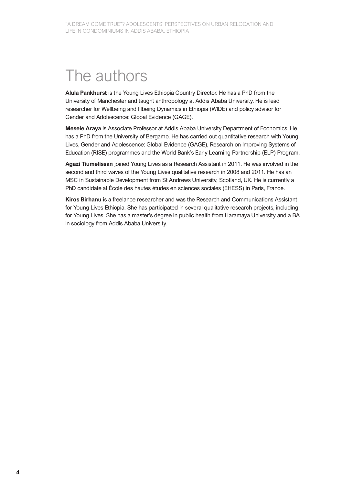## The authors

**Alula Pankhurst** is the Young Lives Ethiopia Country Director. He has a PhD from the University of Manchester and taught anthropology at Addis Ababa University. He is lead researcher for Wellbeing and Illbeing Dynamics in Ethiopia (WIDE) and policy advisor for Gender and Adolescence: Global Evidence (GAGE).

**Mesele Araya** is Associate Professor at Addis Ababa University Department of Economics. He has a PhD from the University of Bergamo. He has carried out quantitative research with Young Lives, Gender and Adolescence: Global Evidence (GAGE), Research on Improving Systems of Education (RISE) programmes and the World Bank's Early Learning Partnership (ELP) Program.

**Agazi Tiumelissan** joined Young Lives as a Research Assistant in 2011. He was involved in the second and third waves of the Young Lives qualitative research in 2008 and 2011. He has an MSC in Sustainable Development from St Andrews University, Scotland, UK. He is currently a PhD candidate at École des hautes études en sciences sociales (EHESS) in Paris, France.

**Kiros Birhanu** is a freelance researcher and was the Research and Communications Assistant for Young Lives Ethiopia. She has participated in several qualitative research projects, including for Young Lives. She has a master's degree in public health from Haramaya University and a BA in sociology from Addis Ababa University.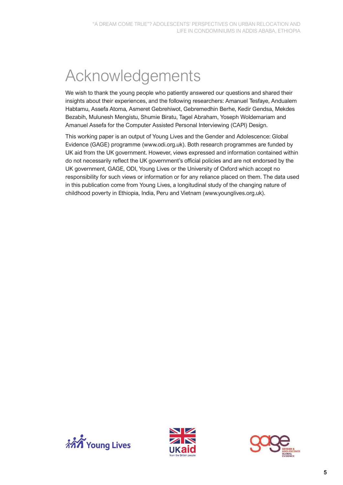# Acknowledgements

We wish to thank the young people who patiently answered our questions and shared their insights about their experiences, and the following researchers: Amanuel Tesfaye, Andualem Habtamu, Assefa Atoma, Asmeret Gebrehiwot, Gebremedhin Berhe, Kedir Gendsa, Mekdes Bezabih, Mulunesh Mengistu, Shumie Biratu, Tagel Abraham, Yoseph Woldemariam and Amanuel Assefa for the Computer Assisted Personal Interviewing (CAPI) Design.

This working paper is an output of Young Lives and the Gender and Adolescence: Global Evidence (GAGE) programme (www.odi.org.uk). Both research programmes are funded by UK aid from the UK government. However, views expressed and information contained within do not necessarily reflect the UK government's official policies and are not endorsed by the UK government, GAGE, ODI, Young Lives or the University of Oxford which accept no responsibility for such views or information or for any reliance placed on them. The data used in this publication come from Young Lives, a longitudinal study of the changing nature of childhood poverty in Ethiopia, India, Peru and Vietnam (www.younglives.org.uk).





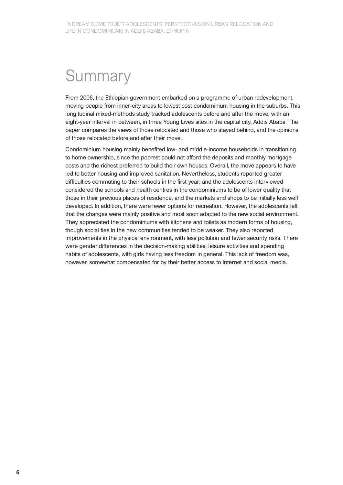# **Summary**

From 2006, the Ethiopian government embarked on a programme of urban redevelopment, moving people from inner-city areas to lowest cost condominium housing in the suburbs. This longitudinal mixed-methods study tracked adolescents before and after the move, with an eight-year interval in between, in three Young Lives sites in the capital city, Addis Ababa. The paper compares the views of those relocated and those who stayed behind, and the opinions of those relocated before and after their move.

Condominium housing mainly benefited low- and middle-income households in transitioning to home ownership, since the poorest could not afford the deposits and monthly mortgage costs and the richest preferred to build their own houses. Overall, the move appears to have led to better housing and improved sanitation. Nevertheless, students reported greater difficulties commuting to their schools in the first year; and the adolescents interviewed considered the schools and health centres in the condominiums to be of lower quality that those in their previous places of residence, and the markets and shops to be initially less well developed. In addition, there were fewer options for recreation. However, the adolescents felt that the changes were mainly positive and most soon adapted to the new social environment. They appreciated the condominiums with kitchens and toilets as modern forms of housing, though social ties in the new communities tended to be weaker. They also reported improvements in the physical environment, with less pollution and fewer security risks. There were gender differences in the decision-making abilities, leisure activities and spending habits of adolescents, with girls having less freedom in general. This lack of freedom was, however, somewhat compensated for by their better access to internet and social media.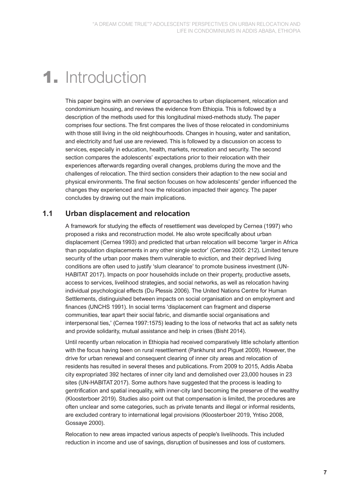### 1. Introduction

This paper begins with an overview of approaches to urban displacement, relocation and condominium housing, and reviews the evidence from Ethiopia. This is followed by a description of the methods used for this longitudinal mixed-methods study. The paper comprises four sections. The first compares the lives of those relocated in condominiums with those still living in the old neighbourhoods. Changes in housing, water and sanitation, and electricity and fuel use are reviewed. This is followed by a discussion on access to services, especially in education, health, markets, recreation and security. The second section compares the adolescents' expectations prior to their relocation with their experiences afterwards regarding overall changes, problems during the move and the challenges of relocation. The third section considers their adaption to the new social and physical environments. The final section focuses on how adolescents' gender influenced the changes they experienced and how the relocation impacted their agency. The paper concludes by drawing out the main implications.

### **1.1 Urban displacement and relocation**

A framework for studying the effects of resettlement was developed by Cernea (1997) who proposed a risks and reconstruction model. He also wrote specifically about urban displacement (Cernea 1993) and predicted that urban relocation will become 'larger in Africa than population displacements in any other single sector' (Cernea 2005: 212). Limited tenure security of the urban poor makes them vulnerable to eviction, and their deprived living conditions are often used to justify 'slum clearance' to promote business investment (UN-HABITAT 2017). Impacts on poor households include on their property, productive assets, access to services, livelihood strategies, and social networks, as well as relocation having individual psychological effects (Du Plessis 2006). The United Nations Centre for Human Settlements, distinguished between impacts on social organisation and on employment and finances (UNCHS 1991). In social terms 'displacement can fragment and disperse communities, tear apart their social fabric, and dismantle social organisations and interpersonal ties,' (Cernea 1997:1575) leading to the loss of networks that act as safety nets and provide solidarity, mutual assistance and help in crises (Bisht 2014).

Until recently urban relocation in Ethiopia had received comparatively little scholarly attention with the focus having been on rural resettlement (Pankhurst and Piguet 2009). However, the drive for urban renewal and consequent clearing of inner city areas and relocation of residents has resulted in several theses and publications. From 2009 to 2015, Addis Ababa city expropriated 392 hectares of inner city land and demolished over 23,000 houses in 23 sites (UN-HABITAT 2017). Some authors have suggested that the process is leading to gentrification and spatial inequality, with inner-city land becoming the preserve of the wealthy (Kloosterboer 2019). Studies also point out that compensation is limited, the procedures are often unclear and some categories, such as private tenants and illegal or informal residents, are excluded contrary to international legal provisions (Kloosterboer 2019, Yntiso 2008, Gossaye 2000).

Relocation to new areas impacted various aspects of people's livelihoods. This included reduction in income and use of savings, disruption of businesses and loss of customers.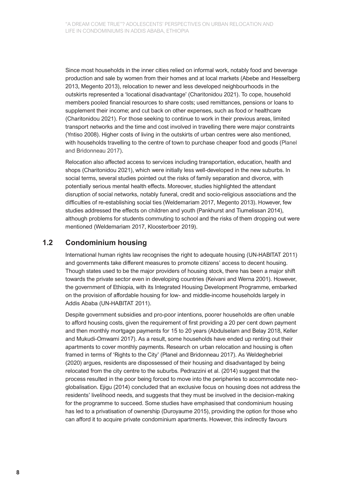Since most households in the inner cities relied on informal work, notably food and beverage production and sale by women from their homes and at local markets (Abebe and Hesselberg 2013, Megento 2013), relocation to newer and less developed neighbourhoods in the outskirts represented a 'locational disadvantage' (Charitonidou 2021). To cope, household members pooled financial resources to share costs; used remittances, pensions or loans to supplement their income; and cut back on other expenses, such as food or healthcare (Charitonidou 2021). For those seeking to continue to work in their previous areas, limited transport networks and the time and cost involved in travelling there were major constraints (Yntiso 2008). Higher costs of living in the outskirts of urban centres were also mentioned, with households travelling to the centre of town to purchase cheaper food and goods (Planel and Bridonneau 2017).

Relocation also affected access to services including transportation, education, health and shops (Charitonidou 2021), which were initially less well-developed in the new suburbs. In social terms, several studies pointed out the risks of family separation and divorce, with potentially serious mental health effects. Moreover, studies highlighted the attendant disruption of social networks, notably funeral, credit and socio-religious associations and the difficulties of re-establishing social ties (Weldemariam 2017, Megento 2013). However, few studies addressed the effects on children and youth (Pankhurst and Tiumelissan 2014), although problems for students commuting to school and the risks of them dropping out were mentioned (Weldemariam 2017, Kloosterboer 2019).

#### **1.2 Condominium housing**

International human rights law recognises the right to adequate housing (UN-HABITAT 2011) and governments take different measures to promote citizens' access to decent housing. Though states used to be the major providers of housing stock, there has been a major shift towards the private sector even in developing countries (Keivani and Werna 2001). However, the government of Ethiopia, with its Integrated Housing Development Programme, embarked on the provision of affordable housing for low- and middle-income households largely in Addis Ababa (UN-HABITAT 2011).

Despite government subsidies and pro-poor intentions, poorer households are often unable to afford housing costs, given the requirement of first providing a 20 per cent down payment and then monthly mortgage payments for 15 to 20 years (Abdulselam and Belay 2018, Keller and Mukudi-Omwami 2017). As a result, some households have ended up renting out their apartments to cover monthly payments. Research on urban relocation and housing is often framed in terms of 'Rights to the City' (Planel and Bridonneau 2017). As Weldeghebriel (2020) argues, residents are dispossessed of their housing and disadvantaged by being relocated from the city centre to the suburbs. Pedrazzini et al. (2014) suggest that the process resulted in the poor being forced to move into the peripheries to accommodate neoglobalisation. Ejigu (2014) concluded that an exclusive focus on housing does not address the residents' livelihood needs, and suggests that they must be involved in the decision-making for the programme to succeed. Some studies have emphasised that condominium housing has led to a privatisation of ownership (Duroyaume 2015), providing the option for those who can afford it to acquire private condominium apartments. However, this indirectly favours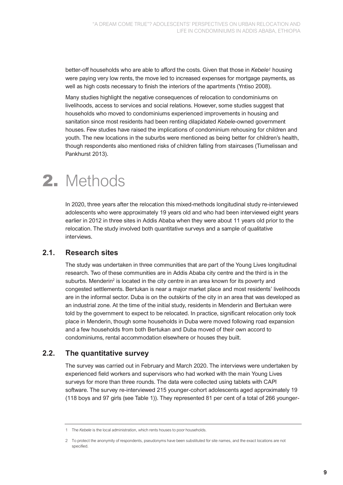better-off households who are able to afford the costs. Given that those in *Kebele<sup>1</sup>* housing were paying very low rents, the move led to increased expenses for mortgage payments, as well as high costs necessary to finish the interiors of the apartments (Yntiso 2008).

Many studies highlight the negative consequences of relocation to condominiums on livelihoods, access to services and social relations. However, some studies suggest that households who moved to condominiums experienced improvements in housing and sanitation since most residents had been renting dilapidated *Kebele*-owned government houses. Few studies have raised the implications of condominium rehousing for children and youth. The new locations in the suburbs were mentioned as being better for children's health, though respondents also mentioned risks of children falling from staircases (Tiumelissan and Pankhurst 2013).

### 2. Methods

In 2020, three years after the relocation this mixed-methods longitudinal study re-interviewed adolescents who were approximately 19 years old and who had been interviewed eight years earlier in 2012 in three sites in Addis Ababa when they were about 11 years old prior to the relocation. The study involved both quantitative surveys and a sample of qualitative interviews.

#### **2.1. Research sites**

The study was undertaken in three communities that are part of the Young Lives longitudinal research. Two of these communities are in Addis Ababa city centre and the third is in the suburbs. Menderin<sup>2</sup> is located in the city centre in an area known for its poverty and congested settlements. Bertukan is near a major market place and most residents' livelihoods are in the informal sector. Duba is on the outskirts of the city in an area that was developed as an industrial zone. At the time of the initial study, residents in Menderin and Bertukan were told by the government to expect to be relocated. In practice, significant relocation only took place in Menderin, though some households in Duba were moved following road expansion and a few households from both Bertukan and Duba moved of their own accord to condominiums, rental accommodation elsewhere or houses they built.

#### **2.2. The quantitative survey**

The survey was carried out in February and March 2020. The interviews were undertaken by experienced field workers and supervisors who had worked with the main Young Lives surveys for more than three rounds. The data were collected using tablets with CAPI software. The survey re-interviewed 215 younger-cohort adolescents aged approximately 19 (118 boys and 97 girls (see Table 1)). They represented 81 per cent of a total of 266 younger-

<sup>1</sup> The *Kebele* is the local administration, which rents houses to poor households.

<sup>2</sup> To protect the anonymity of respondents, pseudonyms have been substituted for site names, and the exact locations are not specified.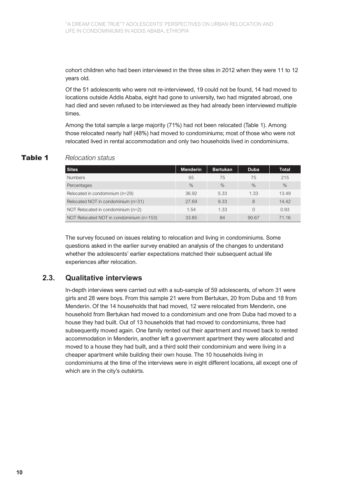cohort children who had been interviewed in the three sites in 2012 when they were 11 to 12 years old.

Of the 51 adolescents who were not re-interviewed, 19 could not be found, 14 had moved to locations outside Addis Ababa, eight had gone to university, two had migrated abroad, one had died and seven refused to be interviewed as they had already been interviewed multiple times.

Among the total sample a large majority (71%) had not been relocated (Table 1). Among those relocated nearly half (48%) had moved to condominiums; most of those who were not relocated lived in rental accommodation and only two households lived in condominiums.

#### Table 1 *Relocation status*

| <b>Sites</b>                             | <b>Menderin</b> | <b>Bertukan</b> | <b>Duba</b>   | <b>Total</b> |
|------------------------------------------|-----------------|-----------------|---------------|--------------|
| <b>Numbers</b>                           | 65              | 75              | 75            | 215          |
| Percentages                              | $\%$            | $\%$            | $\frac{0}{0}$ | $\%$         |
| Relocated in condominium (n=29)          | 36.92           | 5.33            | 1.33          | 13.49        |
| Relocated NOT in condominium (n=31)      | 27.69           | 9.33            | 8             | 14.42        |
| NOT Relocated in condominium (n=2)       | 1.54            | 1.33            |               | 0.93         |
| NOT Relocated NOT in condominium (n=153) | 33.85           | 84              | 90.67         | 71.16        |

The survey focused on issues relating to relocation and living in condominiums. Some questions asked in the earlier survey enabled an analysis of the changes to understand whether the adolescents' earlier expectations matched their subsequent actual life experiences after relocation.

#### **2.3. Qualitative interviews**

In-depth interviews were carried out with a sub-sample of 59 adolescents, of whom 31 were girls and 28 were boys. From this sample 21 were from Bertukan, 20 from Duba and 18 from Menderin. Of the 14 households that had moved, 12 were relocated from Menderin, one household from Bertukan had moved to a condominium and one from Duba had moved to a house they had built. Out of 13 households that had moved to condominiums, three had subsequently moved again. One family rented out their apartment and moved back to rented accommodation in Menderin, another left a government apartment they were allocated and moved to a house they had built, and a third sold their condominium and were living in a cheaper apartment while building their own house. The 10 households living in condominiums at the time of the interviews were in eight different locations, all except one of which are in the city's outskirts.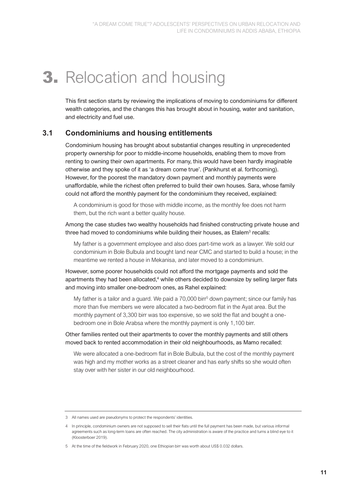## **3.** Relocation and housing

This first section starts by reviewing the implications of moving to condominiums for different wealth categories, and the changes this has brought about in housing, water and sanitation, and electricity and fuel use.

#### **3.1 Condominiums and housing entitlements**

Condominium housing has brought about substantial changes resulting in unprecedented property ownership for poor to middle-income households, enabling them to move from renting to owning their own apartments. For many, this would have been hardly imaginable otherwise and they spoke of it as 'a dream come true'. (Pankhurst et al. forthcoming). However, for the poorest the mandatory down payment and monthly payments were unaffordable, while the richest often preferred to build their own houses. Sara, whose family could not afford the monthly payment for the condominium they received, explained:

A condominium is good for those with middle income, as the monthly fee does not harm them, but the rich want a better quality house.

Among the case studies two wealthy households had finished constructing private house and three had moved to condominiums while building their houses, as Etalem<sup>3</sup> recalls:

My father is a government employee and also does part-time work as a lawyer. We sold our condominium in Bole Bulbula and bought land near CMC and started to build a house; in the meantime we rented a house in Mekanisa, and later moved to a condominium.

However, some poorer households could not afford the mortgage payments and sold the apartments they had been allocated, <sup>4</sup> while others decided to downsize by selling larger flats and moving into smaller one-bedroom ones, as Rahel explained:

My father is a tailor and a quard. We paid a 70,000 birr<sup>5</sup> down payment; since our family has more than five members we were allocated a two-bedroom flat in the Ayat area. But the monthly payment of 3,300 birr was too expensive, so we sold the flat and bought a onebedroom one in Bole Arabsa where the monthly payment is only 1,100 birr.

Other families rented out their apartments to cover the monthly payments and still others moved back to rented accommodation in their old neighbourhoods, as Mamo recalled:

We were allocated a one-bedroom flat in Bole Bulbula, but the cost of the monthly payment was high and my mother works as a street cleaner and has early shifts so she would often stay over with her sister in our old neighbourhood.

<sup>3</sup> All names used are pseudonyms to protect the respondents' identities.

<sup>4</sup> In principle, condominium owners are not supposed to sell their flats until the full payment has been made, but various informal agreements such as long-term loans are often reached. The city administration is aware of the practice and turns a blind eye to it (Kloosterboer 2019).

<sup>5</sup> At the time of the fieldwork in February 2020, one Ethiopian birr was worth about US\$ 0.032 dollars.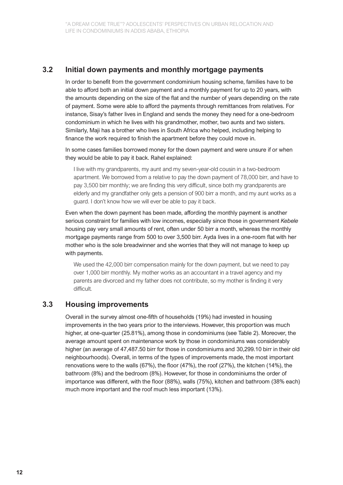#### **3.2 Initial down payments and monthly mortgage payments**

In order to benefit from the government condominium housing scheme, families have to be able to afford both an initial down payment and a monthly payment for up to 20 years, with the amounts depending on the size of the flat and the number of years depending on the rate of payment. Some were able to afford the payments through remittances from relatives. For instance, Sisay's father lives in England and sends the money they need for a one-bedroom condominium in which he lives with his grandmother, mother, two aunts and two sisters. Similarly, Maji has a brother who lives in South Africa who helped, including helping to finance the work required to finish the apartment before they could move in.

In some cases families borrowed money for the down payment and were unsure if or when they would be able to pay it back. Rahel explained:

I live with my grandparents, my aunt and my seven-year-old cousin in a two-bedroom apartment. We borrowed from a relative to pay the down payment of 78,000 birr, and have to pay 3,500 birr monthly; we are finding this very difficult, since both my grandparents are elderly and my grandfather only gets a pension of 900 birr a month, and my aunt works as a guard. I don't know how we will ever be able to pay it back.

Even when the down payment has been made, affording the monthly payment is another serious constraint for families with low incomes, especially since those in government *Kebele* housing pay very small amounts of rent, often under 50 birr a month, whereas the monthly mortgage payments range from 500 to over 3,500 birr. Ayda lives in a one-room flat with her mother who is the sole breadwinner and she worries that they will not manage to keep up with payments.

We used the 42,000 birr compensation mainly for the down payment, but we need to pay over 1,000 birr monthly. My mother works as an accountant in a travel agency and my parents are divorced and my father does not contribute, so my mother is finding it very difficult*.*

#### **3.3 Housing improvements**

Overall in the survey almost one-fifth of households (19%) had invested in housing improvements in the two years prior to the interviews. However, this proportion was much higher, at one-quarter (25.81%), among those in condominiums (see Table 2). Moreover, the average amount spent on maintenance work by those in condominiums was considerably higher (an average of 47,487.50 birr for those in condominiums and 30,299.10 birr in their old neighbourhoods). Overall, in terms of the types of improvements made, the most important renovations were to the walls (67%), the floor (47%), the roof (27%), the kitchen (14%), the bathroom (8%) and the bedroom (8%). However, for those in condominiums the order of importance was different, with the floor (88%), walls (75%), kitchen and bathroom (38% each) much more important and the roof much less important (13%).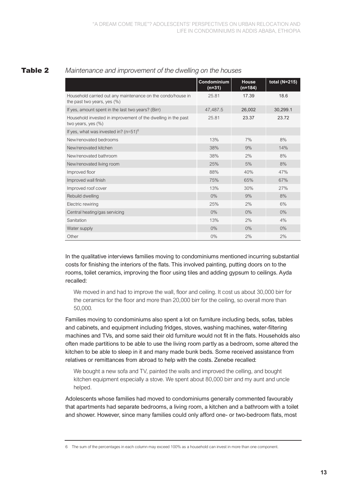|                                                                                               | Condominium<br>$(n=31)$ | <b>House</b><br>(n=184) | total (N=215) |
|-----------------------------------------------------------------------------------------------|-------------------------|-------------------------|---------------|
| Household carried out any maintenance on the condo/house in<br>the past two years, yes $(\%)$ | 25.81                   | 17.39                   | 18.6          |
| If yes, amount spent in the last two years? (Birr)                                            | 47,487.5                | 26,002                  | 30,299.1      |
| Household invested in improvement of the dwelling in the past<br>two years, yes $(\%)$        | 25.81                   | 23.37                   | 23.72         |
| If yes, what was invested in? $(n=51)^6$                                                      |                         |                         |               |
| New/renovated bedrooms                                                                        | 13%                     | 7%                      | 8%            |
| New/renovated kitchen                                                                         | 38%                     | 9%                      | 14%           |
| New/renovated bathroom                                                                        | 38%                     | 2%                      | 8%            |
| New/renovated living room                                                                     | 25%                     | 5%                      | 8%            |
| Improved floor                                                                                | 88%                     | 40%                     | 47%           |
| Improved wall finish                                                                          | 75%                     | 65%                     | 67%           |
| Improved roof cover                                                                           | 13%                     | 30%                     | 27%           |
| Rebuild dwelling                                                                              | $0\%$                   | 9%                      | 8%            |
| Electric rewiring                                                                             | 25%                     | 2%                      | 6%            |
| Central heating/gas servicing                                                                 | $0\%$                   | $0\%$                   | $0\%$         |
| Sanitation                                                                                    | 13%                     | 2%                      | 4%            |
| Water supply                                                                                  | 0%                      | $0\%$                   | $0\%$         |
| Other                                                                                         | $0\%$                   | 2%                      | 2%            |

#### Table 2 *Maintenance and improvement of the dwelling on the houses*

In the qualitative interviews families moving to condominiums mentioned incurring substantial costs for finishing the interiors of the flats. This involved painting, putting doors on to the rooms, toilet ceramics, improving the floor using tiles and adding gypsum to ceilings. Ayda recalled:

We moved in and had to improve the wall, floor and ceiling. It cost us about 30,000 birr for the ceramics for the floor and more than 20,000 birr for the ceiling, so overall more than 50,000*.*

Families moving to condominiums also spent a lot on furniture including beds, sofas, tables and cabinets, and equipment including fridges, stoves, washing machines, water-filtering machines and TVs, and some said their old furniture would not fit in the flats. Households also often made partitions to be able to use the living room partly as a bedroom, some altered the kitchen to be able to sleep in it and many made bunk beds. Some received assistance from relatives or remittances from abroad to help with the costs. Zenebe recalled:

We bought a new sofa and TV, painted the walls and improved the celling, and bought kitchen equipment especially a stove. We spent about 80,000 birr and my aunt and uncle helped.

Adolescents whose families had moved to condominiums generally commented favourably that apartments had separate bedrooms, a living room, a kitchen and a bathroom with a toilet and shower. However, since many families could only afford one- or two-bedroom flats, most

<sup>6</sup> The sum of the percentages in each column may exceed 100% as a household can invest in more than one component.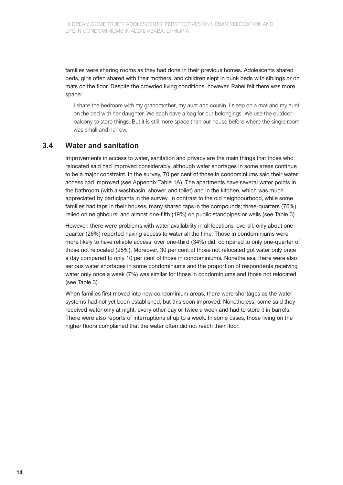families were sharing rooms as they had done in their previous homes. Adolescents shared beds, girls often shared with their mothers, and children slept in bunk beds with siblings or on mats on the floor. Despite the crowded living conditions, however, Rahel felt there was more space:

I share the bedroom with my grandmother, my aunt and cousin. I sleep on a mat and my aunt on the bed with her daughter. We each have a bag for our belongings. We use the outdoor balcony to store things. But it is still more space than our house before where the single room was small and narrow*.*

#### **3.4 Water and sanitation**

Improvements in access to water, sanitation and privacy are the main things that those who relocated said had improved considerably, although water shortages in some areas continue to be a major constraint. In the survey, 70 per cent of those in condominiums said their water access had improved (see Appendix Table 1A). The apartments have several water points in the bathroom (with a washbasin, shower and toilet) and in the kitchen, which was much appreciated by participants in the survey. In contrast to the old neighbourhood, while some families had taps in their houses, many shared taps in the compounds; three-quarters (76%) relied on neighbours, and almost one-fifth (19%) on public standpipes or wells (see Table 3).

However, there were problems with water availability in all locations; overall, only about onequarter (26%) reported having access to water all the time. Those in condominiums were more likely to have reliable access: over one-third (34%) did, compared to only one-quarter of those not relocated (25%). Moreover, 30 per cent of those not relocated got water only once a day compared to only 10 per cent of those in condominiums. Nonetheless, there were also serious water shortages in some condominiums and the proportion of respondents receiving water only once a week (7%) was similar for those in condominiums and those not relocated (see Table 3).

When families first moved into new condominium areas, there were shortages as the water systems had not yet been established, but this soon improved. Nonetheless, some said they received water only at night, every other day or twice a week and had to store it in barrels. There were also reports of interruptions of up to a week. In some cases, those living on the higher floors complained that the water often did not reach their floor.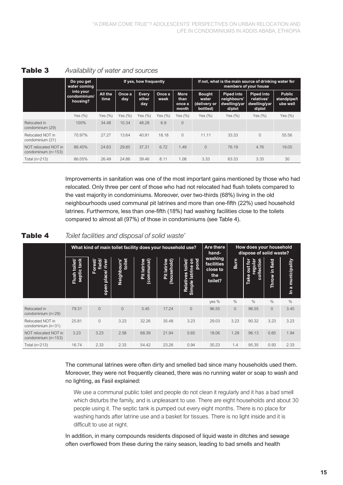|                                             | Do you get<br>water coming<br>into your<br>condominium/<br>housing? | If yes, how frequently |               |                       |                | If not, what is the main source of drinking water for<br>members of your house |                                                    |                                                            |                                                           |                                          |
|---------------------------------------------|---------------------------------------------------------------------|------------------------|---------------|-----------------------|----------------|--------------------------------------------------------------------------------|----------------------------------------------------|------------------------------------------------------------|-----------------------------------------------------------|------------------------------------------|
|                                             |                                                                     | All the<br>time        | Once a<br>day | Every<br>other<br>day | Once a<br>week | <b>More</b><br>than<br>once a<br>month                                         | <b>Bought</b><br>water<br>(delivery or<br>bottled) | <b>Piped into</b><br>neighbours'<br>dwelling/yar<br>d/plot | <b>Piped into</b><br>relatives'<br>dwelling/yar<br>d/plot | <b>Public</b><br>standpipe/t<br>ube well |
|                                             | Yes $(\%)$                                                          | Yes $(\%)$             | Yes $(\%)$    | Yes $(\%)$            | Yes $(\%)$     | Yes $(\%)$                                                                     | Yes $(\%)$                                         | Yes $(\%)$                                                 | Yes $(\%)$                                                | Yes $(\%)$                               |
| Relocated in<br>condominium (29)            | 100%                                                                | 34.48                  | 10.34         | 48.28                 | 6.9            | $\Omega$                                                                       |                                                    |                                                            |                                                           |                                          |
| Relocated NOT in<br>condominium (31)        | 70.97%                                                              | 27.27                  | 13.64         | 40.91                 | 18.18          | $\Omega$                                                                       | 11.11                                              | 33.33                                                      | $\Omega$                                                  | 55.56                                    |
| NOT relocated NOT in<br>condominium (n=153) | 86.45%                                                              | 24.63                  | 29.85         | 37.31                 | 6.72           | 1.49                                                                           | $\Omega$                                           | 76.19                                                      | 4.76                                                      | 19.05                                    |
| Total ( $n=213$ )                           | 86.05%                                                              | 26.49                  | 24.86         | 39.46                 | 8.11           | 1.08                                                                           | 3.33                                               | 63.33                                                      | 3.33                                                      | 30                                       |

#### Table 3 *Availability of water and sources*

Improvements in sanitation was one of the most important gains mentioned by those who had relocated. Only three per cent of those who had not relocated had flush toilets compared to the vast majority in condominiums. Moreover, over two-thirds (68%) living in the old neighbourhoods used communal pit latrines and more than one-fifth (22%) used household latrines. Furthermore, less than one-fifth (18%) had washing facilities close to the toilets compared to almost all (97%) of those in condominiums (see Table 4).

| Toilet facilities and disposal of solid waste' |
|------------------------------------------------|
|                                                |

|                                             | What kind of main toilet facility does your household use? | Are there<br>hand-                       | How does your household<br>dispose of solid waste? |                           |                            |                                                        |                                                     |              |                                                                        |                   |                   |
|---------------------------------------------|------------------------------------------------------------|------------------------------------------|----------------------------------------------------|---------------------------|----------------------------|--------------------------------------------------------|-----------------------------------------------------|--------------|------------------------------------------------------------------------|-------------------|-------------------|
|                                             | tank<br>toilet/<br>septic<br>Flush                         | field/<br>river<br>Forest<br>open place/ | toilet<br>Neighbours'                              | Pit latrine<br>(communal) | Pit latrine<br>(household) | pond<br>toilet/<br>ã<br>latrine<br>Relatives<br>Simple | washing<br>facilities<br>close to<br>the<br>toilet? | Burn         | 등<br>ă<br>$\overline{a}$<br>е<br><b>Jiro</b><br>ဥ္ၿာ<br>colled<br>Take | field<br>Throw in | In a municipality |
|                                             |                                                            |                                          |                                                    |                           |                            |                                                        | yes %                                               | $\%$         | $\%$                                                                   | $\%$              | $\%$              |
| Relocated in<br>condominium (n=29)          | 79.31                                                      | $\Omega$                                 | $\Omega$                                           | 3.45                      | 17.24                      | $\overline{0}$                                         | 96.55                                               | $\mathbf{0}$ | 96.55                                                                  | $\Omega$          | 3.45              |
| Relocated NOT in<br>condominium (n=31)      | 25.81                                                      | $\Omega$                                 | 3.23                                               | 32.26                     | 35.48                      | 3.23                                                   | 29.03                                               | 3.23         | 90.32                                                                  | 3.23              | 3.23              |
| NOT relocated NOT in<br>condominium (n=153) | 3.23                                                       | 3.23                                     | 2.58                                               | 68.39                     | 21.94                      | 0.65                                                   | 18.06                                               | 1.29         | 96.13                                                                  | 0.65              | 1.94              |
| Total ( $n=213$ )                           | 16.74                                                      | 2.33                                     | 2.33                                               | 54.42                     | 23.26                      | 0.94                                                   | 30.23                                               | 1.4          | 95.35                                                                  | 0.93              | 2.33              |

#### The communal latrines were often dirty and smelled bad since many households used them. Moreover, they were not frequently cleaned, there was no running water or soap to wash and no lighting, as Fasil explained:

We use a communal public toilet and people do not clean it regularly and it has a bad smell which disturbs the family, and is unpleasant to use. There are eight households and about 30 people using it. The septic tank is pumped out every eight months. There is no place for washing hands after latrine use and a basket for tissues. There is no light inside and it is difficult to use at night*.*

In addition, in many compounds residents disposed of liquid waste in ditches and sewage often overflowed from these during the rainy season, leading to bad smells and health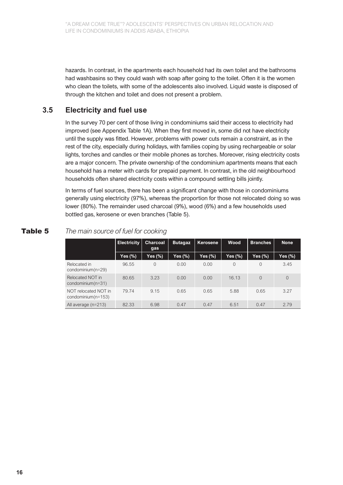hazards. In contrast, in the apartments each household had its own toilet and the bathrooms had washbasins so they could wash with soap after going to the toilet. Often it is the women who clean the toilets, with some of the adolescents also involved. Liquid waste is disposed of through the kitchen and toilet and does not present a problem.

#### **3.5 Electricity and fuel use**

In the survey 70 per cent of those living in condominiums said their access to electricity had improved (see Appendix Table 1A). When they first moved in, some did not have electricity until the supply was fitted. However, problems with power cuts remain a constraint, as in the rest of the city, especially during holidays, with families coping by using rechargeable or solar lights, torches and candles or their mobile phones as torches. Moreover, rising electricity costs are a major concern. The private ownership of the condominium apartments means that each household has a meter with cards for prepaid payment. In contrast, in the old neighbourhood households often shared electricity costs within a compound settling bills jointly.

In terms of fuel sources, there has been a significant change with those in condominiums generally using electricity (97%), whereas the proportion for those not relocated doing so was lower (80%). The remainder used charcoal (9%), wood (6%) and a few households used bottled gas, kerosene or even branches (Table 5).

|                                               | <b>Electricity</b> | Charcoal<br>gas | <b>Butagaz</b> | Kerosene | Wood     | <b>Branches</b> | <b>None</b>    |
|-----------------------------------------------|--------------------|-----------------|----------------|----------|----------|-----------------|----------------|
|                                               | Yes (%)            | Yes (%)         | Yes (%)        | Yes (%)  | Yes (%)  | Yes (%)         | Yes (%)        |
| Relocated in<br>condominium(n=29)             | 96.55              | 0               | 0.00           | 0.00     | $\Omega$ | 0               | 3.45           |
| Relocated NOT in<br>condominium $(n=31)$      | 80.65              | 3.23            | 0.00           | 0.00     | 16.13    | $\Omega$        | $\overline{0}$ |
| NOT relocated NOT in<br>condominium $(n=153)$ | 7974               | 9.15            | 0.65           | 0.65     | 5.88     | 0.65            | 3.27           |
| All average (n=213)                           | 82.33              | 6.98            | 0.47           | 0.47     | 6.51     | 0.47            | 2.79           |

#### Table 5 *The main source of fuel for cooking*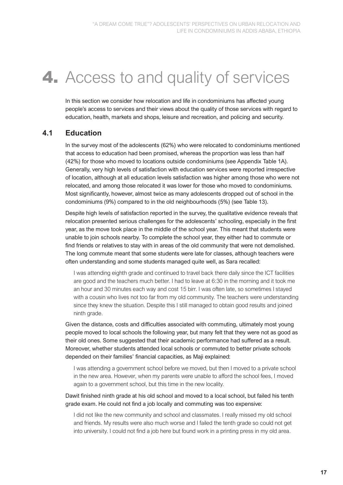### **4.** Access to and quality of services

In this section we consider how relocation and life in condominiums has affected young people's access to services and their views about the quality of those services with regard to education, health, markets and shops, leisure and recreation, and policing and security.

#### **4.1 Education**

In the survey most of the adolescents (62%) who were relocated to condominiums mentioned that access to education had been promised, whereas the proportion was less than half (42%) for those who moved to locations outside condominiums (see Appendix Table 1A). Generally, very high levels of satisfaction with education services were reported irrespective of location, although at all education levels satisfaction was higher among those who were not relocated, and among those relocated it was lower for those who moved to condominiums. Most significantly, however, almost twice as many adolescents dropped out of school in the condominiums (9%) compared to in the old neighbourhoods (5%) (see Table 13).

Despite high levels of satisfaction reported in the survey, the qualitative evidence reveals that relocation presented serious challenges for the adolescents' schooling, especially in the first year, as the move took place in the middle of the school year. This meant that students were unable to join schools nearby. To complete the school year, they either had to commute or find friends or relatives to stay with in areas of the old community that were not demolished. The long commute meant that some students were late for classes, although teachers were often understanding and some students managed quite well, as Sara recalled:

I was attending eighth grade and continued to travel back there daily since the ICT facilities are good and the teachers much better. I had to leave at 6:30 in the morning and it took me an hour and 30 minutes each way and cost 15 birr. I was often late, so sometimes I stayed with a cousin who lives not too far from my old community. The teachers were understanding since they knew the situation. Despite this I still managed to obtain good results and joined ninth grade.

Given the distance, costs and difficulties associated with commuting, ultimately most young people moved to local schools the following year, but many felt that they were not as good as their old ones. Some suggested that their academic performance had suffered as a result. Moreover, whether students attended local schools or commuted to better private schools depended on their families' financial capacities, as Maji explained:

I was attending a government school before we moved, but then I moved to a private school in the new area. However, when my parents were unable to afford the school fees, I moved again to a government school, but this time in the new locality.

Dawit finished ninth grade at his old school and moved to a local school, but failed his tenth grade exam. He could not find a job locally and commuting was too expensive:

I did not like the new community and school and classmates. I really missed my old school and friends. My results were also much worse and I failed the tenth grade so could not get into university. I could not find a job here but found work in a printing press in my old area.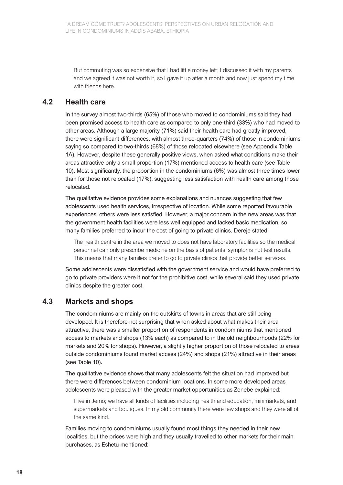But commuting was so expensive that I had little money left; I discussed it with my parents and we agreed it was not worth it, so I gave it up after a month and now just spend my time with friends here.

#### **4.2 Health care**

In the survey almost two-thirds (65%) of those who moved to condominiums said they had been promised access to health care as compared to only one-third (33%) who had moved to other areas. Although a large majority (71%) said their health care had greatly improved, there were significant differences, with almost three-quarters (74%) of those in condominiums saying so compared to two-thirds (68%) of those relocated elsewhere (see Appendix Table 1A). However, despite these generally positive views, when asked what conditions make their areas attractive only a small proportion (17%) mentioned access to health care (see Table 10). Most significantly, the proportion in the condominiums (6%) was almost three times lower than for those not relocated (17%), suggesting less satisfaction with health care among those relocated.

The qualitative evidence provides some explanations and nuances suggesting that few adolescents used health services, irrespective of location. While some reported favourable experiences, others were less satisfied. However, a major concern in the new areas was that the government health facilities were less well equipped and lacked basic medication, so many families preferred to incur the cost of going to private clinics. Dereje stated:

The health centre in the area we moved to does not have laboratory facilities so the medical personnel can only prescribe medicine on the basis of patients' symptoms not test results. This means that many families prefer to go to private clinics that provide better services.

Some adolescents were dissatisfied with the government service and would have preferred to go to private providers were it not for the prohibitive cost, while several said they used private clinics despite the greater cost.

#### **4.3 Markets and shops**

The condominiums are mainly on the outskirts of towns in areas that are still being developed. It is therefore not surprising that when asked about what makes their area attractive, there was a smaller proportion of respondents in condominiums that mentioned access to markets and shops (13% each) as compared to in the old neighbourhoods (22% for markets and 20% for shops). However, a slightly higher proportion of those relocated to areas outside condominiums found market access (24%) and shops (21%) attractive in their areas (see Table 10).

The qualitative evidence shows that many adolescents felt the situation had improved but there were differences between condominium locations. In some more developed areas adolescents were pleased with the greater market opportunities as Zenebe explained:

I live in Jemo; we have all kinds of facilities including health and education, minimarkets, and supermarkets and boutiques. In my old community there were few shops and they were all of the same kind.

Families moving to condominiums usually found most things they needed in their new localities, but the prices were high and they usually travelled to other markets for their main purchases, as Eshetu mentioned: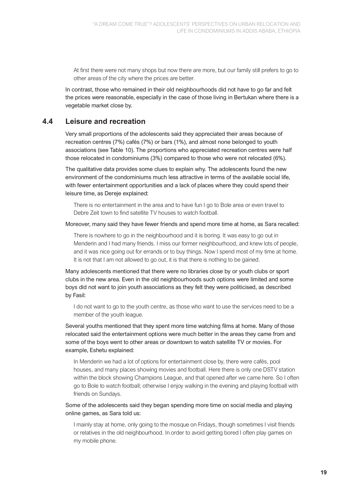At first there were not many shops but now there are more, but our family still prefers to go to other areas of the city where the prices are better.

In contrast, those who remained in their old neighbourhoods did not have to go far and felt the prices were reasonable, especially in the case of those living in Bertukan where there is a vegetable market close by.

#### **4.4 Leisure and recreation**

Very small proportions of the adolescents said they appreciated their areas because of recreation centres (7%) cafés (7%) or bars (1%), and almost none belonged to youth associations (see Table 10). The proportions who appreciated recreation centres were half those relocated in condominiums (3%) compared to those who were not relocated (6%).

The qualitative data provides some clues to explain why. The adolescents found the new environment of the condominiums much less attractive in terms of the available social life, with fewer entertainment opportunities and a lack of places where they could spend their leisure time, as Dereje explained:

There is no entertainment in the area and to have fun I go to Bole area or even travel to Debre Zeit town to find satellite TV houses to watch football.

Moreover, many said they have fewer friends and spend more time at home, as Sara recalled:

There is nowhere to go in the neighbourhood and it is boring. It was easy to go out in Menderin and I had many friends. I miss our former neighbourhood, and knew lots of people, and it was nice going out for errands or to buy things. Now I spend most of my time at home. It is not that I am not allowed to go out, it is that there is nothing to be gained.

Many adolescents mentioned that there were no libraries close by or youth clubs or sport clubs in the new area. Even in the old neighbourhoods such options were limited and some boys did not want to join youth associations as they felt they were politicised, as described by Fasil:

I do not want to go to the youth centre, as those who want to use the services need to be a member of the youth league.

Several youths mentioned that they spent more time watching films at home. Many of those relocated said the entertainment options were much better in the areas they came from and some of the boys went to other areas or downtown to watch satellite TV or movies. For example, Eshetu explained:

In Menderin we had a lot of options for entertainment close by, there were cafés, pool houses, and many places showing movies and football. Here there is only one DSTV station within the block showing Champions League, and that opened after we came here. So I often go to Bole to watch football; otherwise I enjoy walking in the evening and playing football with friends on Sundays.

#### Some of the adolescents said they began spending more time on social media and playing online games, as Sara told us:

I mainly stay at home, only going to the mosque on Fridays, though sometimes I visit friends or relatives in the old neighbourhood. In order to avoid getting bored I often play games on my mobile phone.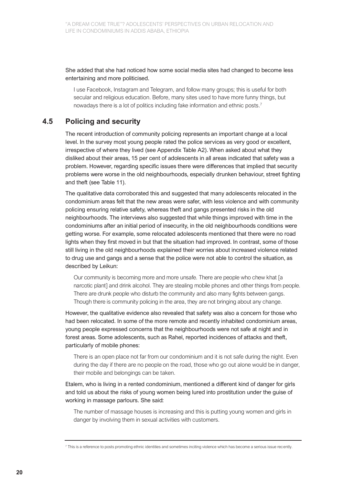She added that she had noticed how some social media sites had changed to become less entertaining and more politicised.

I use Facebook, Instagram and Telegram, and follow many groups; this is useful for both secular and religious education. Before, many sites used to have more funny things, but nowadays there is a lot of politics including fake information and ethnic posts.<sup>7</sup>

#### **4.5 Policing and security**

The recent introduction of community policing represents an important change at a local level. In the survey most young people rated the police services as very good or excellent, irrespective of where they lived (see Appendix Table A2). When asked about what they disliked about their areas, 15 per cent of adolescents in all areas indicated that safety was a problem. However, regarding specific issues there were differences that implied that security problems were worse in the old neighbourhoods, especially drunken behaviour, street fighting and theft (see Table 11).

The qualitative data corroborated this and suggested that many adolescents relocated in the condominium areas felt that the new areas were safer, with less violence and with community policing ensuring relative safety, whereas theft and gangs presented risks in the old neighbourhoods. The interviews also suggested that while things improved with time in the condominiums after an initial period of insecurity, in the old neighbourhoods conditions were getting worse. For example, some relocated adolescents mentioned that there were no road lights when they first moved in but that the situation had improved. In contrast, some of those still living in the old neighbourhoods explained their worries about increased violence related to drug use and gangs and a sense that the police were not able to control the situation, as described by Leikun:

Our community is becoming more and more unsafe. There are people who chew khat [a narcotic plant] and drink alcohol. They are stealing mobile phones and other things from people. There are drunk people who disturb the community and also many fights between gangs. Though there is community policing in the area, they are not bringing about any change.

However, the qualitative evidence also revealed that safety was also a concern for those who had been relocated. In some of the more remote and recently inhabited condominium areas, young people expressed concerns that the neighbourhoods were not safe at night and in forest areas. Some adolescents, such as Rahel, reported incidences of attacks and theft, particularly of mobile phones:

There is an open place not far from our condominium and it is not safe during the night. Even during the day if there are no people on the road, those who go out alone would be in danger, their mobile and belongings can be taken.

Etalem, who is living in a rented condominium, mentioned a different kind of danger for girls and told us about the risks of young women being lured into prostitution under the guise of working in massage parlours. She said:

The number of massage houses is increasing and this is putting young women and girls in danger by involving them in sexual activities with customers.

<sup>7</sup> This is a reference to posts promoting ethnic identities and sometimes inciting violence which has become a serious issue recently.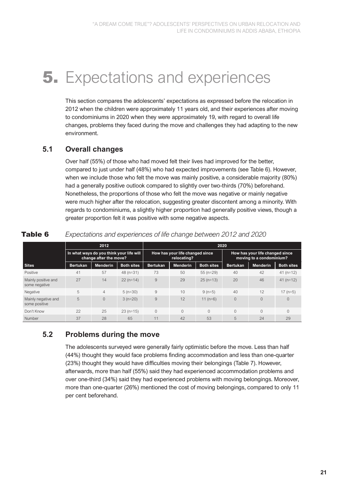### **5.** Expectations and experiences

This section compares the adolescents' expectations as expressed before the relocation in 2012 when the children were approximately 11 years old, and their experiences after moving to condominiums in 2020 when they were approximately 19, with regard to overall life changes, problems they faced during the move and challenges they had adapting to the new environment.

### **5.1 Overall changes**

Over half (55%) of those who had moved felt their lives had improved for the better, compared to just under half (48%) who had expected improvements (see Table 6). However, when we include those who felt the move was mainly positive, a considerable majority (80%) had a generally positive outlook compared to slightly over two-thirds (70%) beforehand. Nonetheless, the proportions of those who felt the move was negative or mainly negative were much higher after the relocation, suggesting greater discontent among a minority. With regards to condominiums, a slightly higher proportion had generally positive views, though a greater proportion felt it was positive with some negative aspects.

|                                      |                                                                    | 2012            |                   | 2020            |                                                |                   |                                                             |                 |                   |  |  |
|--------------------------------------|--------------------------------------------------------------------|-----------------|-------------------|-----------------|------------------------------------------------|-------------------|-------------------------------------------------------------|-----------------|-------------------|--|--|
|                                      | In what ways do you think your life will<br>change after the move? |                 |                   |                 | How has your life changed since<br>relocating? |                   | How has your life changed since<br>moving to a condominium? |                 |                   |  |  |
| <b>Sites</b>                         | <b>Bertukan</b>                                                    | <b>Menderin</b> | <b>Both sites</b> | <b>Bertukan</b> | <b>Menderin</b>                                | <b>Both sites</b> | <b>Bertukan</b>                                             | <b>Menderin</b> | <b>Both sites</b> |  |  |
| Positive                             | 41                                                                 | 57              | $48$ (n=31)       | 73              | 50                                             | $55 (n=29)$       | 40                                                          | 42              | $41$ (n=12)       |  |  |
| Mainly positive and<br>some negative | 27                                                                 | 14              | $22 (n=14)$       | 9               | 29                                             | $25$ (n=13)       | 20                                                          | 46              | $41(n=12)$        |  |  |
| Negative                             | 5                                                                  | $\overline{4}$  | $5(n=30)$         | 9               | 10                                             | $9(n=5)$          | 40                                                          | 12              | $17$ (n=5)        |  |  |
| Mainly negative and<br>some positive | 5                                                                  | $\Omega$        | $3(n=20)$         | 9               | 12                                             | $11(n=6)$         |                                                             | $\Omega$        | 0                 |  |  |
| Don't Know                           | 22                                                                 | 25              | $23(n=15)$        | $\Omega$        | $\Omega$                                       | $\Omega$          |                                                             | $\Omega$        | O                 |  |  |
| Number                               | 37                                                                 | 28              | 65                | 11              | 42                                             | 53                | 5                                                           | 24              | 29                |  |  |

Table 6 *Expectations and experiences of life change between 2012 and 2020*

### **5.2 Problems during the move**

The adolescents surveyed were generally fairly optimistic before the move. Less than half (44%) thought they would face problems finding accommodation and less than one-quarter (23%) thought they would have difficulties moving their belongings (Table 7). However, afterwards, more than half (55%) said they had experienced accommodation problems and over one-third (34%) said they had experienced problems with moving belongings. Moreover, more than one-quarter (26%) mentioned the cost of moving belongings, compared to only 11 per cent beforehand.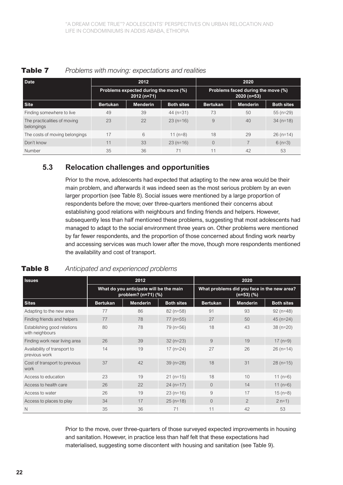| Date                                       |                 | 2012                                                  |                   |                 | 2020                                               |                   |  |  |
|--------------------------------------------|-----------------|-------------------------------------------------------|-------------------|-----------------|----------------------------------------------------|-------------------|--|--|
|                                            |                 | Problems expected during the move (%)<br>$2012(n=71)$ |                   |                 | Problems faced during the move (%)<br>$2020(n=53)$ |                   |  |  |
| <b>Site</b>                                | <b>Bertukan</b> | <b>Menderin</b>                                       | <b>Both sites</b> | <b>Bertukan</b> | <b>Menderin</b>                                    | <b>Both sites</b> |  |  |
| Finding somewhere to live                  | 49              | 39                                                    | 44 $(n=31)$       | 73              | 50                                                 | $55(n=29)$        |  |  |
| The practicalities of moving<br>belongings | 23              | 22                                                    | $23(n=16)$        | 9               | 40                                                 | $34 (n=18)$       |  |  |
| The costs of moving belongings             | 17              | 6                                                     | $11(n=8)$         | 18              | 29                                                 | $26$ (n=14)       |  |  |
| Don't know                                 | 11              | 33                                                    | $23(n=16)$        | $\Omega$        |                                                    | $6(n=3)$          |  |  |
| Number                                     | 35              | 36                                                    | 71                | 11              | 42                                                 | 53                |  |  |

#### Table 7 *Problems with moving: expectations and realities*

### **5.3 Relocation challenges and opportunities**

Prior to the move, adolescents had expected that adapting to the new area would be their main problem, and afterwards it was indeed seen as the most serious problem by an even larger proportion (see Table 8). Social issues were mentioned by a large proportion of respondents before the move; over three-quarters mentioned their concerns about establishing good relations with neighbours and finding friends and helpers. However, subsequently less than half mentioned these problems, suggesting that most adolescents had managed to adapt to the social environment three years on. Other problems were mentioned by far fewer respondents, and the proportion of those concerned about finding work nearby and accessing services was much lower after the move, though more respondents mentioned the availability and cost of transport.

#### Table 8 *Anticipated and experienced problems*

| <b>Issues</b>                                  |                 | 2012                                                           |                   | 2020                                                      |                 |                   |  |
|------------------------------------------------|-----------------|----------------------------------------------------------------|-------------------|-----------------------------------------------------------|-----------------|-------------------|--|
|                                                |                 | What do you anticipate will be the main<br>problem? (n=71) (%) |                   | What problems did you face in the new area?<br>(n=53) (%) |                 |                   |  |
| <b>Sites</b>                                   | <b>Bertukan</b> | <b>Menderin</b>                                                | <b>Both sites</b> | <b>Bertukan</b>                                           | <b>Menderin</b> | <b>Both sites</b> |  |
| Adapting to the new area                       | 77              | 86                                                             | $82$ (n=58)       | 91                                                        | 93              | $92$ (n=48)       |  |
| Finding friends and helpers                    | 77              | 78                                                             | $77$ (n= $55$ )   | 27                                                        | 50              | $45$ (n=24)       |  |
| Establishing good relations<br>with neighbours | 80              | 78                                                             | 79 (n=56)         | 18                                                        | 43              | $38(n=20)$        |  |
| Finding work near living area                  | 26              | 39                                                             | $32(n=23)$        | 9                                                         | 19              | $17$ (n=9)        |  |
| Availability of transport to<br>previous work  | 14              | 19                                                             | $17$ (n=24)       | 27                                                        | 26              | $26$ (n=14)       |  |
| Cost of transport to previous<br>work          | 37              | 42                                                             | $39(n=28)$        | 18                                                        | 31              | $28$ (n=15)       |  |
| Access to education                            | 23              | 19                                                             | $21$ (n=15)       | 18                                                        | 10              | 11 $(n=6)$        |  |
| Access to health care                          | 26              | 22                                                             | $24$ (n=17)       | $\overline{0}$                                            | 14              | 11 $(n=6)$        |  |
| Access to water                                | 26              | 19                                                             | $23(n=16)$        | 9                                                         | 17              | $15(n=8)$         |  |
| Access to places to play                       | 34              | 17                                                             | $25$ (n=18)       | $\Omega$                                                  | $\overline{2}$  | $2 n=1$           |  |
| N                                              | 35              | 36                                                             | 71                | 11                                                        | 42              | 53                |  |

Prior to the move, over three-quarters of those surveyed expected improvements in housing and sanitation. However, in practice less than half felt that these expectations had materialised, suggesting some discontent with housing and sanitation (see Table 9).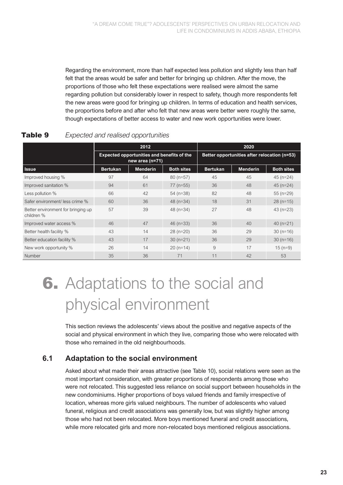Regarding the environment, more than half expected less pollution and slightly less than half felt that the areas would be safer and better for bringing up children. After the move, the proportions of those who felt these expectations were realised were almost the same regarding pollution but considerably lower in respect to safety, though more respondents felt the new areas were good for bringing up children. In terms of education and health services, the proportions before and after who felt that new areas were better were roughly the same, though expectations of better access to water and new work opportunities were lower.

|                                                  |                 | 2012                                                                   |                   |                                              | 2020            |                   |  |
|--------------------------------------------------|-----------------|------------------------------------------------------------------------|-------------------|----------------------------------------------|-----------------|-------------------|--|
|                                                  |                 | <b>Expected opportunities and benefits of the</b><br>new area $(n=71)$ |                   | Better opportunities after relocation (n=53) |                 |                   |  |
| <b>Issue</b>                                     | <b>Bertukan</b> | <b>Menderin</b>                                                        | <b>Both sites</b> | <b>Bertukan</b>                              | <b>Menderin</b> | <b>Both sites</b> |  |
| Improved housing %                               | 97              | 64                                                                     | $80$ (n=57)       | 45                                           | 45              | $45$ (n=24)       |  |
| Improved sanitation %                            | 94              | 61                                                                     | $77$ (n=55)       | 36                                           | 48              | $45$ (n=24)       |  |
| Less pollution %                                 | 66              | 42                                                                     | $54$ (n=38)       | 82                                           | 48              | $55$ (n=29)       |  |
| Safer environment/ less crime %                  | 60              | 36                                                                     | 48 $(n=34)$       | 18                                           | 31              | $28$ (n=15)       |  |
| Better environment for bringing up<br>children % | 57              | 39                                                                     | 48 $(n=34)$       | 27                                           | 48              | $43$ (n=23)       |  |
| Improved water access %                          | 46              | 47                                                                     | $46$ (n=33)       | 36                                           | 40              | $40(n=21)$        |  |
| Better health facility %                         | 43              | 14                                                                     | $28(n=20)$        | 36                                           | 29              | $30(n=16)$        |  |
| Better education facility %                      | 43              | 17                                                                     | $30(n=21)$        | 36                                           | 29              | $30(n=16)$        |  |
| New work opportunity %                           | 26              | 14                                                                     | $20(n=14)$        | 9                                            | 17              | $15(n=9)$         |  |
| Number                                           | 35              | 36                                                                     | 71                | 11                                           | 42              | 53                |  |

### Table 9 *Expected and realised opportunities*

# 6. Adaptations to the social and physical environment

This section reviews the adolescents' views about the positive and negative aspects of the social and physical environment in which they live, comparing those who were relocated with those who remained in the old neighbourhoods.

### **6.1 Adaptation to the social environment**

Asked about what made their areas attractive (see Table 10), social relations were seen as the most important consideration, with greater proportions of respondents among those who were not relocated. This suggested less reliance on social support between households in the new condominiums. Higher proportions of boys valued friends and family irrespective of location, whereas more girls valued neighbours. The number of adolescents who valued funeral, religious and credit associations was generally low, but was slightly higher among those who had not been relocated. More boys mentioned funeral and credit associations, while more relocated girls and more non-relocated boys mentioned religious associations.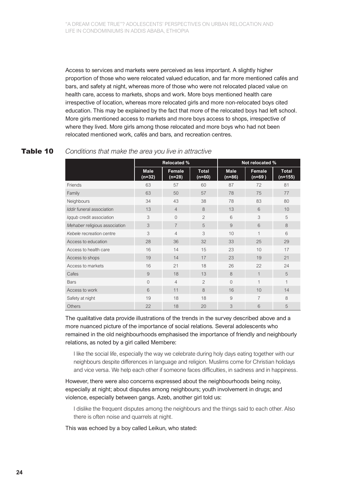Access to services and markets were perceived as less important. A slightly higher proportion of those who were relocated valued education, and far more mentioned cafés and bars, and safety at night, whereas more of those who were not relocated placed value on health care, access to markets, shops and work. More boys mentioned health care irrespective of location, whereas more relocated girls and more non-relocated boys cited education. This may be explained by the fact that more of the relocated boys had left school. More girls mentioned access to markets and more boys access to shops, irrespective of where they lived. More girls among those relocated and more boys who had not been relocated mentioned work, cafés and bars, and recreation centres.

#### Table 10 *Conditions that make the area you live in attractive*

|                               | <b>Relocated %</b>      |                  |                          | Not relocated %         |                    |                         |  |
|-------------------------------|-------------------------|------------------|--------------------------|-------------------------|--------------------|-------------------------|--|
|                               | <b>Male</b><br>$(n=32)$ | Female<br>(n=28) | <b>Total</b><br>$(n=60)$ | <b>Male</b><br>$(n=86)$ | Female<br>$(n=69)$ | <b>Total</b><br>(n=155) |  |
| Friends                       | 63                      | 57               | 60                       | 87                      | 72                 | 81                      |  |
| Family                        | 63                      | 50               | 57                       | 78                      | 75                 | 77                      |  |
| Neighbours                    | 34                      | 43               | 38                       | 78                      | 83                 | 80                      |  |
| Iddir funeral association     | 13                      | $\overline{4}$   | 8                        | 13                      | 6                  | 10                      |  |
| Iggub credit association      | 3                       | $\overline{0}$   | $\overline{2}$           | 6                       | 3                  | 5                       |  |
| Mehaber religious association | 3                       | $\overline{7}$   | 5                        | 9                       | 6                  | 8                       |  |
| Kebele recreation centre      | 3                       | $\overline{4}$   | 3                        | 10                      | $\overline{1}$     | 6                       |  |
| Access to education           | 28                      | 36               | 32                       | 33                      | 25                 | 29                      |  |
| Access to health care         | 16                      | 14               | 15                       | 23                      | 10                 | 17                      |  |
| Access to shops               | 19                      | 14               | 17                       | 23                      | 19                 | 21                      |  |
| Access to markets             | 16                      | 21               | 18                       | 26                      | 22                 | 24                      |  |
| Cafes                         | 9                       | 18               | 13                       | 8                       | $\mathbf 1$        | 5                       |  |
| <b>Bars</b>                   | $\overline{0}$          | $\overline{4}$   | $\overline{2}$           | $\Omega$                | $\overline{1}$     | 1                       |  |
| Access to work                | 6                       | 11               | 8                        | 16                      | 10                 | 14                      |  |
| Safety at night               | 19                      | 18               | 18                       | 9                       | $\overline{7}$     | 8                       |  |
| <b>Others</b>                 | 22                      | 18               | 20                       | 3                       | 6                  | 5                       |  |

The qualitative data provide illustrations of the trends in the survey described above and a more nuanced picture of the importance of social relations. Several adolescents who remained in the old neighbourhoods emphasised the importance of friendly and neighbourly relations, as noted by a girl called Membere:

I like the social life, especially the way we celebrate during holy days eating together with our neighbours despite differences in language and religion. Muslims come for Christian holidays and vice versa. We help each other if someone faces difficulties, in sadness and in happiness.

However, there were also concerns expressed about the neighbourhoods being noisy, especially at night; about disputes among neighbours; youth involvement in drugs; and violence, especially between gangs. Azeb, another girl told us:

I dislike the frequent disputes among the neighbours and the things said to each other. Also there is often noise and quarrels at night.

This was echoed by a boy called Leikun, who stated: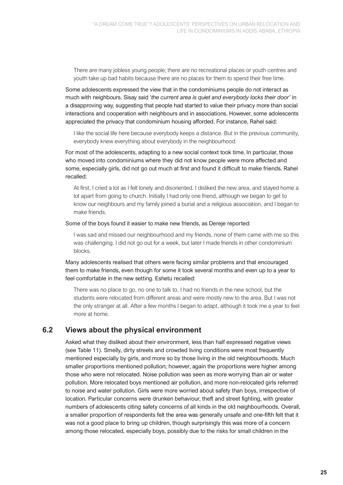There are many jobless young people; there are no recreational places or youth centres and youth take up bad habits because there are no places for them to spend their free time.

Some adolescents expressed the view that in the condominiums people do not interact as much with neighbours. Sisay said '*the current area is quiet and everybody locks their door'* in a disapproving way, suggesting that people had started to value their privacy more than social interactions and cooperation with neighbours and in associations. However, some adolescents appreciated the privacy that condominium housing afforded. For instance, Rahel said:

I like the social life here because everybody keeps a distance. But in the previous community, everybody knew everything about everybody in the neighbourhood.

For most of the adolescents, adapting to a new social context took time. In particular, those who moved into condominiums where they did not know people were more affected and some, especially girls, did not go out much at first and found it difficult to make friends. Rahel recalled:

At first, I cried a lot as I felt lonely and disoriented. I disliked the new area, and stayed home a lot apart from going to church. Initially I had only one friend, although we began to get to know our neighbours and my family joined a burial and a religious association, and I began to make friends.

#### Some of the boys found it easier to make new friends, as Dereje reported:

I was sad and missed our neighbourhood and my friends, none of them came with me so this was challenging. I did not go out for a week, but later I made friends in other condominium blocks.

Many adolescents realised that others were facing similar problems and that encouraged them to make friends, even though for some it took several months and even up to a year to feel comfortable in the new setting. Eshetu recalled:

There was no place to go, no one to talk to, I had no friends in the new school, but the students were relocated from different areas and were mostly new to the area. But I was not the only stranger at all. After a few months I began to adapt, although it took me a year to feel more at home.

#### **6.2 Views about the physical environment**

Asked what they disliked about their environment, less than half expressed negative views (see Table 11). Smelly, dirty streets and crowded living conditions were most frequently mentioned especially by girls, and more so by those living in the old neighbourhoods. Much smaller proportions mentioned pollution; however, again the proportions were higher among those who were not relocated. Noise pollution was seen as more worrying than air or water pollution. More relocated boys mentioned air pollution, and more non-relocated girls referred to noise and water pollution. Girls were more worried about safety than boys, irrespective of location. Particular concerns were drunken behaviour, theft and street fighting, with greater numbers of adolescents citing safety concerns of all kinds in the old neighbourhoods. Overall, a smaller proportion of respondents felt the area was generally unsafe and one-fifth felt that it was not a good place to bring up children, though surprisingly this was more of a concern among those relocated, especially boys, possibly due to the risks for small children in the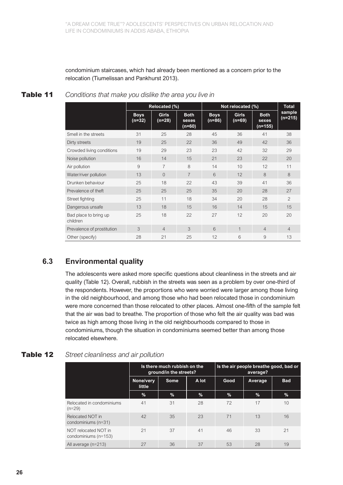condominium staircases, which had already been mentioned as a concern prior to the relocation (Tiumelissan and Pankhurst 2013).

|                                   | Relocated (%)           |                        |                                | Not relocated (%)       |                          |                                 | <b>Total</b>        |
|-----------------------------------|-------------------------|------------------------|--------------------------------|-------------------------|--------------------------|---------------------------------|---------------------|
|                                   | <b>Boys</b><br>$(n=32)$ | <b>Girls</b><br>(n=28) | <b>Both</b><br>sexes<br>(n=60) | <b>Boys</b><br>$(n=86)$ | <b>Girls</b><br>$(n=69)$ | <b>Both</b><br>sexes<br>(n=155) | sample<br>$(n=215)$ |
| Smell in the streets              | 31                      | 25                     | 28                             | 45                      | 36                       | 41                              | 38                  |
| Dirty streets                     | 19                      | 25                     | 22                             | 36                      | 49                       | 42                              | 36                  |
| Crowded living conditions         | 19                      | 29                     | 23                             | 23                      | 42                       | 32                              | 29                  |
| Noise pollution                   | 16                      | 14                     | 15                             | 21                      | 23                       | 22                              | 20                  |
| Air pollution                     | 9                       | $\overline{7}$         | 8                              | 14                      | 10                       | 12                              | 11                  |
| Water/river pollution             | 13                      | $\Omega$               | $\overline{7}$                 | 6                       | 12                       | 8                               | 8                   |
| Drunken behaviour                 | 25                      | 18                     | 22                             | 43                      | 39                       | 41                              | 36                  |
| Prevalence of theft               | 25                      | 25                     | 25                             | 35                      | 20                       | 28                              | 27                  |
| Street fighting                   | 25                      | 11                     | 18                             | 34                      | 20                       | 28                              | $\mathcal{P}$       |
| Dangerous unsafe                  | 13                      | 18                     | 15                             | 16                      | 14                       | 15                              | 15                  |
| Bad place to bring up<br>children | 25                      | 18                     | 22                             | 27                      | 12                       | 20                              | 20                  |
| Prevalence of prostitution        | 3                       | $\overline{4}$         | 3                              | 6                       | $\mathbf 1$              | $\overline{4}$                  | $\overline{4}$      |
| Other (specify)                   | 28                      | 21                     | 25                             | 12                      | 6                        | 9                               | 13                  |

Table 11 *Conditions that make you dislike the area you live in*

### **6.3 Environmental quality**

The adolescents were asked more specific questions about cleanliness in the streets and air quality (Table 12). Overall, rubbish in the streets was seen as a problem by over one-third of the respondents. However, the proportions who were worried were larger among those living in the old neighbourhood, and among those who had been relocated those in condominium were more concerned than those relocated to other places. Almost one-fifth of the sample felt that the air was bad to breathe. The proportion of those who felt the air quality was bad was twice as high among those living in the old neighbourhoods compared to those in condominiums, though the situation in condominiums seemed better than among those relocated elsewhere.

### Table 12 *Street cleanliness and air pollution*

|                                              |                     | Is there much rubbish on the<br>ground/in the streets? |       | Is the air people breathe good, bad or<br>average? |               |            |  |
|----------------------------------------------|---------------------|--------------------------------------------------------|-------|----------------------------------------------------|---------------|------------|--|
|                                              | None/very<br>little | <b>Some</b>                                            | A lot | Good                                               | Average       | <b>Bad</b> |  |
|                                              | %                   | %                                                      | $\%$  | $\%$                                               | $\frac{9}{6}$ | $\%$       |  |
| Relocated in condominiums<br>$(n=29)$        | 41                  | 31                                                     | 28    | 72                                                 | 17            | 10         |  |
| Relocated NOT in<br>condominiums (n=31)      | 42                  | 35                                                     | 23    | 71                                                 | 13            | 16         |  |
| NOT relocated NOT in<br>condominiums (n=153) | 21                  | 37                                                     | 41    | 46                                                 | 33            | 21         |  |
| All average (n=213)                          | 27                  | 36                                                     | 37    | 53                                                 | 28            | 19         |  |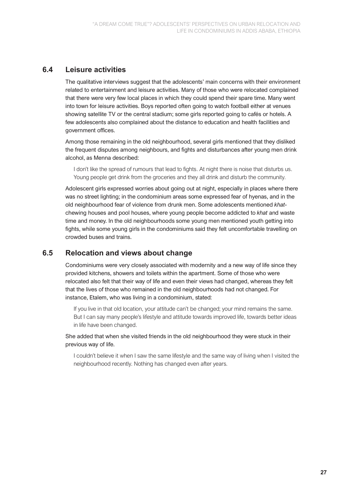### **6.4 Leisure activities**

The qualitative interviews suggest that the adolescents' main concerns with their environment related to entertainment and leisure activities. Many of those who were relocated complained that there were very few local places in which they could spend their spare time. Many went into town for leisure activities. Boys reported often going to watch football either at venues showing satellite TV or the central stadium; some girls reported going to cafés or hotels. A few adolescents also complained about the distance to education and health facilities and government offices.

Among those remaining in the old neighbourhood, several girls mentioned that they disliked the frequent disputes among neighbours, and fights and disturbances after young men drink alcohol, as Menna described:

I don't like the spread of rumours that lead to fights. At night there is noise that disturbs us. Young people get drink from the groceries and they all drink and disturb the community.

Adolescent girls expressed worries about going out at night, especially in places where there was no street lighting; in the condominium areas some expressed fear of hyenas, and in the old neighbourhood fear of violence from drunk men. Some adolescents mentioned *khat*chewing houses and pool houses, where young people become addicted to *khat* and waste time and money. In the old neighbourhoods some young men mentioned youth getting into fights, while some young girls in the condominiums said they felt uncomfortable travelling on crowded buses and trains.

#### **6.5 Relocation and views about change**

Condominiums were very closely associated with modernity and a new way of life since they provided kitchens, showers and toilets within the apartment. Some of those who were relocated also felt that their way of life and even their views had changed, whereas they felt that the lives of those who remained in the old neighbourhoods had not changed. For instance, Etalem, who was living in a condominium, stated:

If you live in that old location, your attitude can't be changed; your mind remains the same. But I can say many people's lifestyle and attitude towards improved life, towards better ideas in life have been changed.

She added that when she visited friends in the old neighbourhood they were stuck in their previous way of life.

I couldn't believe it when I saw the same lifestyle and the same way of living when I visited the neighbourhood recently. Nothing has changed even after years*.*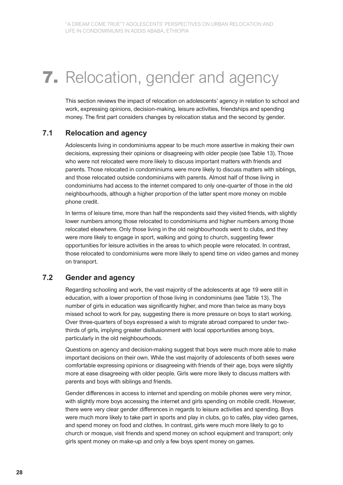# **7.** Relocation, gender and agency

This section reviews the impact of relocation on adolescents' agency in relation to school and work, expressing opinions, decision-making, leisure activities, friendships and spending money. The first part considers changes by relocation status and the second by gender.

#### **7.1 Relocation and agency**

Adolescents living in condominiums appear to be much more assertive in making their own decisions, expressing their opinions or disagreeing with older people (see Table 13). Those who were not relocated were more likely to discuss important matters with friends and parents. Those relocated in condominiums were more likely to discuss matters with siblings, and those relocated outside condominiums with parents. Almost half of those living in condominiums had access to the internet compared to only one-quarter of those in the old neighbourhoods, although a higher proportion of the latter spent more money on mobile phone credit.

In terms of leisure time, more than half the respondents said they visited friends, with slightly lower numbers among those relocated to condominiums and higher numbers among those relocated elsewhere. Only those living in the old neighbourhoods went to clubs, and they were more likely to engage in sport, walking and going to church, suggesting fewer opportunities for leisure activities in the areas to which people were relocated. In contrast, those relocated to condominiums were more likely to spend time on video games and money on transport.

#### **7.2 Gender and agency**

Regarding schooling and work, the vast majority of the adolescents at age 19 were still in education, with a lower proportion of those living in condominiums (see Table 13). The number of girls in education was significantly higher, and more than twice as many boys missed school to work for pay, suggesting there is more pressure on boys to start working. Over three-quarters of boys expressed a wish to migrate abroad compared to under twothirds of girls, implying greater disillusionment with local opportunities among boys, particularly in the old neighbourhoods.

Questions on agency and decision-making suggest that boys were much more able to make important decisions on their own. While the vast majority of adolescents of both sexes were comfortable expressing opinions or disagreeing with friends of their age, boys were slightly more at ease disagreeing with older people. Girls were more likely to discuss matters with parents and boys with siblings and friends.

Gender differences in access to internet and spending on mobile phones were very minor, with slightly more boys accessing the internet and girls spending on mobile credit. However, there were very clear gender differences in regards to leisure activities and spending. Boys were much more likely to take part in sports and play in clubs, go to cafés, play video games, and spend money on food and clothes. In contrast, girls were much more likely to go to church or mosque, visit friends and spend money on school equipment and transport; only girls spent money on make-up and only a few boys spent money on games.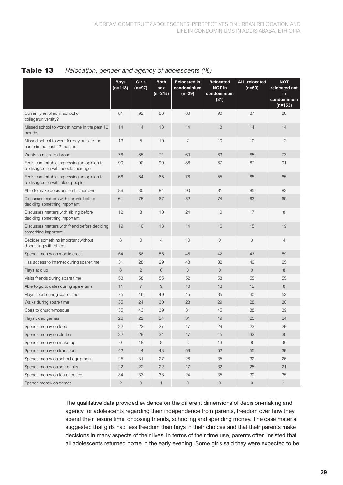|                                                                                    | <b>Boys</b><br>$(n=118)$ | <b>Girls</b><br>$(n=97)$ | <b>Both</b><br>sex<br>(n=215) | <b>Relocated in</b><br>condominium<br>$(n=29)$ | <b>Relocated</b><br><b>NOT in</b><br>condominium<br>(31) | <b>ALL</b> relocated<br>$(n=60)$ | <b>NOT</b><br>relocated not<br>in<br>condominium<br>$(n=153)$ |
|------------------------------------------------------------------------------------|--------------------------|--------------------------|-------------------------------|------------------------------------------------|----------------------------------------------------------|----------------------------------|---------------------------------------------------------------|
| Currently enrolled in school or<br>college/university?                             | 81                       | 92                       | 86                            | 83                                             | 90                                                       | 87                               | 86                                                            |
| Missed school to work at home in the past 12<br>months                             | 14                       | 14                       | 13                            | 14                                             | 13                                                       | 14                               | 14                                                            |
| Missed school to work for pay outside the<br>home in the past 12 months            | 13                       | 5                        | 10                            | $\overline{7}$                                 | 10                                                       | 10                               | 12                                                            |
| Wants to migrate abroad                                                            | 76                       | 65                       | 71                            | 69                                             | 63                                                       | 65                               | 73                                                            |
| Feels comfortable expressing an opinion to<br>or disagreeing with people their age | 90                       | 90                       | 90                            | 86                                             | 87                                                       | 87                               | 91                                                            |
| Feels comfortable expressing an opinion to<br>or disagreeing with older people     | 66                       | 64                       | 65                            | 76                                             | 55                                                       | 65                               | 65                                                            |
| Able to make decisions on his/her own                                              | 86                       | 80                       | 84                            | 90                                             | 81                                                       | 85                               | 83                                                            |
| Discusses matters with parents before<br>deciding something important              | 61                       | 75                       | 67                            | 52                                             | 74                                                       | 63                               | 69                                                            |
| Discusses matters with sibling before<br>deciding something important              | 12                       | 8                        | 10                            | 24                                             | 10                                                       | 17                               | 8                                                             |
| Discusses matters with friend before deciding<br>something important               | 19                       | 16                       | 18                            | 14                                             | 16                                                       | 15                               | 19                                                            |
| Decides something important without<br>discussing with others                      | 8                        | $\mathbf 0$              | $\overline{4}$                | 10                                             | $\mathbf 0$                                              | 3                                | $\overline{4}$                                                |
| Spends money on mobile credit                                                      | 54                       | 56                       | 55                            | 45                                             | 42                                                       | 43                               | 59                                                            |
| Has access to internet during spare time                                           | 31                       | 28                       | 29                            | 48                                             | 32                                                       | 40                               | 25                                                            |
| Plays at club                                                                      | 8                        | $\mathbf{2}$             | 6                             | $\mathbf 0$                                    | $\sqrt{0}$                                               | $\sqrt{a}$                       | 8                                                             |
| Visits friends during spare time                                                   | 53                       | 58                       | 55                            | 52                                             | 58                                                       | 55                               | 55                                                            |
| Able to go to cafés during spare time                                              | 11                       | $\overline{7}$           | 9                             | 10                                             | 13                                                       | 12                               | 8                                                             |
| Plays sport during spare time                                                      | 75                       | 16                       | 49                            | 45                                             | 35                                                       | 40                               | 52                                                            |
| Walks during spare time                                                            | 35                       | 24                       | 30                            | 28                                             | 29                                                       | 28                               | 30                                                            |
| Goes to church/mosque                                                              | 35                       | 43                       | 39                            | 31                                             | 45                                                       | 38                               | 39                                                            |
| Plays video games                                                                  | 26                       | 22                       | 24                            | 31                                             | 19                                                       | 25                               | 24                                                            |
| Spends money on food                                                               | 32                       | 22                       | 27                            | 17                                             | 29                                                       | 23                               | 29                                                            |
| Spends money on clothes                                                            | 32                       | 29                       | 31                            | 17                                             | 45                                                       | 32                               | $30\,$                                                        |
| Spends money on make-up                                                            | 0                        | 18                       | 8                             | 3                                              | 13                                                       | 8                                | 8                                                             |
| Spends money on transport                                                          | 42                       | 44                       | 43                            | 59                                             | 52                                                       | 55                               | 39                                                            |
| Spends money on school equipment                                                   | 25                       | 31                       | 27                            | 28                                             | 35                                                       | 32                               | 26                                                            |
| Spends money on soft drinks                                                        | 22                       | 22                       | 22                            | 17                                             | 32                                                       | $25\,$                           | 21                                                            |
| Spends money on tea or coffee                                                      | 34                       | 33                       | 33                            | 24                                             | 35                                                       | $30\,$                           | 35                                                            |
| Spends money on games                                                              | $\mathbf{2}$             | $\mathsf{O}\xspace$      | $\mathbf{1}$                  | $\mathsf{O}\xspace$                            | $\mathbb O$                                              | $\mathbf 0$                      | $\overline{1}$                                                |

Table 13 *Relocation, gender and agency of adolescents (%)*

The qualitative data provided evidence on the different dimensions of decision-making and agency for adolescents regarding their independence from parents, freedom over how they spend their leisure time, choosing friends, schooling and spending money. The case material suggested that girls had less freedom than boys in their choices and that their parents make decisions in many aspects of their lives. In terms of their time use, parents often insisted that all adolescents returned home in the early evening. Some girls said they were expected to be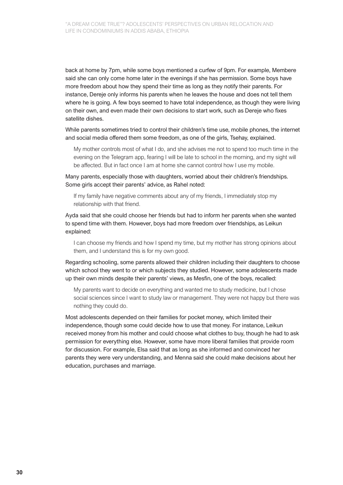back at home by 7pm, while some boys mentioned a curfew of 9pm. For example, Membere said she can only come home later in the evenings if she has permission. Some boys have more freedom about how they spend their time as long as they notify their parents. For instance, Dereje only informs his parents when he leaves the house and does not tell them where he is going. A few boys seemed to have total independence, as though they were living on their own, and even made their own decisions to start work, such as Dereje who fixes satellite dishes.

While parents sometimes tried to control their children's time use, mobile phones, the internet and social media offered them some freedom, as one of the girls, Tsehay, explained.

My mother controls most of what I do, and she advises me not to spend too much time in the evening on the Telegram app, fearing I will be late to school in the morning, and my sight will be affected. But in fact once I am at home she cannot control how I use my mobile.

Many parents, especially those with daughters, worried about their children's friendships. Some girls accept their parents' advice, as Rahel noted:

If my family have negative comments about any of my friends, I immediately stop my relationship with that friend.

Ayda said that she could choose her friends but had to inform her parents when she wanted to spend time with them. However, boys had more freedom over friendships, as Leikun explained:

I can choose my friends and how I spend my time, but my mother has strong opinions about them, and I understand this is for my own good.

Regarding schooling, some parents allowed their children including their daughters to choose which school they went to or which subjects they studied. However, some adolescents made up their own minds despite their parents' views, as Mesfin, one of the boys, recalled:

My parents want to decide on everything and wanted me to study medicine, but I chose social sciences since I want to study law or management. They were not happy but there was nothing they could do.

Most adolescents depended on their families for pocket money, which limited their independence, though some could decide how to use that money. For instance, Leikun received money from his mother and could choose what clothes to buy, though he had to ask permission for everything else. However, some have more liberal families that provide room for discussion. For example, Elsa said that as long as she informed and convinced her parents they were very understanding, and Menna said she could make decisions about her education, purchases and marriage.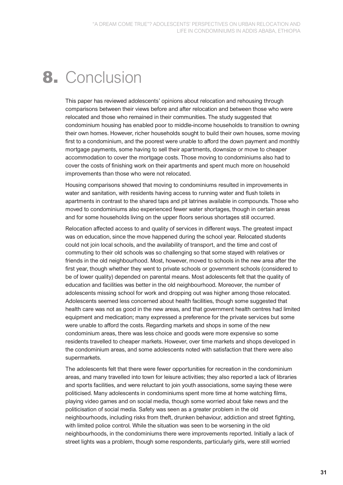# 8. Conclusion

This paper has reviewed adolescents' opinions about relocation and rehousing through comparisons between their views before and after relocation and between those who were relocated and those who remained in their communities. The study suggested that condominium housing has enabled poor to middle-income households to transition to owning their own homes. However, richer households sought to build their own houses, some moving first to a condominium, and the poorest were unable to afford the down payment and monthly mortgage payments, some having to sell their apartments, downsize or move to cheaper accommodation to cover the mortgage costs. Those moving to condominiums also had to cover the costs of finishing work on their apartments and spent much more on household improvements than those who were not relocated.

Housing comparisons showed that moving to condominiums resulted in improvements in water and sanitation, with residents having access to running water and flush toilets in apartments in contrast to the shared taps and pit latrines available in compounds. Those who moved to condominiums also experienced fewer water shortages, though in certain areas and for some households living on the upper floors serious shortages still occurred.

Relocation affected access to and quality of services in different ways. The greatest impact was on education, since the move happened during the school year. Relocated students could not join local schools, and the availability of transport, and the time and cost of commuting to their old schools was so challenging so that some stayed with relatives or friends in the old neighbourhood. Most, however, moved to schools in the new area after the first year, though whether they went to private schools or government schools (considered to be of lower quality) depended on parental means. Most adolescents felt that the quality of education and facilities was better in the old neighbourhood. Moreover, the number of adolescents missing school for work and dropping out was higher among those relocated. Adolescents seemed less concerned about health facilities, though some suggested that health care was not as good in the new areas, and that government health centres had limited equipment and medication; many expressed a preference for the private services but some were unable to afford the costs. Regarding markets and shops in some of the new condominium areas, there was less choice and goods were more expensive so some residents travelled to cheaper markets. However, over time markets and shops developed in the condominium areas, and some adolescents noted with satisfaction that there were also supermarkets.

The adolescents felt that there were fewer opportunities for recreation in the condominium areas, and many travelled into town for leisure activities; they also reported a lack of libraries and sports facilities, and were reluctant to join youth associations, some saying these were politicised. Many adolescents in condominiums spent more time at home watching films, playing video games and on social media, though some worried about fake news and the politicisation of social media. Safety was seen as a greater problem in the old neighbourhoods, including risks from theft, drunken behaviour, addiction and street fighting, with limited police control. While the situation was seen to be worsening in the old neighbourhoods, in the condominiums there were improvements reported. Initially a lack of street lights was a problem, though some respondents, particularly girls, were still worried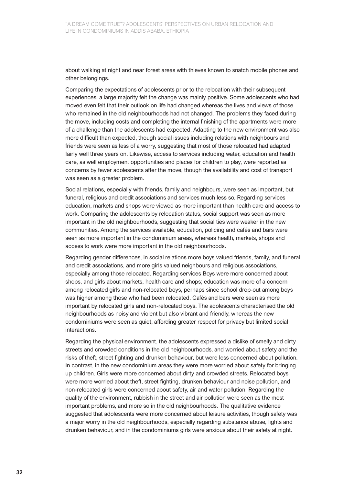about walking at night and near forest areas with thieves known to snatch mobile phones and other belongings.

Comparing the expectations of adolescents prior to the relocation with their subsequent experiences, a large majority felt the change was mainly positive. Some adolescents who had moved even felt that their outlook on life had changed whereas the lives and views of those who remained in the old neighbourhoods had not changed. The problems they faced during the move, including costs and completing the internal finishing of the apartments were more of a challenge than the adolescents had expected. Adapting to the new environment was also more difficult than expected, though social issues including relations with neighbours and friends were seen as less of a worry, suggesting that most of those relocated had adapted fairly well three years on. Likewise, access to services including water, education and health care, as well employment opportunities and places for children to play, were reported as concerns by fewer adolescents after the move, though the availability and cost of transport was seen as a greater problem.

Social relations, especially with friends, family and neighbours, were seen as important, but funeral, religious and credit associations and services much less so. Regarding services education, markets and shops were viewed as more important than health care and access to work. Comparing the adolescents by relocation status, social support was seen as more important in the old neighbourhoods, suggesting that social ties were weaker in the new communities. Among the services available, education, policing and cafés and bars were seen as more important in the condominium areas, whereas health, markets, shops and access to work were more important in the old neighbourhoods.

Regarding gender differences, in social relations more boys valued friends, family, and funeral and credit associations, and more girls valued neighbours and religious associations, especially among those relocated. Regarding services Boys were more concerned about shops, and girls about markets, health care and shops; education was more of a concern among relocated girls and non-relocated boys, perhaps since school drop-out among boys was higher among those who had been relocated. Cafés and bars were seen as more important by relocated girls and non-relocated boys. The adolescents characterised the old neighbourhoods as noisy and violent but also vibrant and friendly, whereas the new condominiums were seen as quiet, affording greater respect for privacy but limited social interactions.

Regarding the physical environment, the adolescents expressed a dislike of smelly and dirty streets and crowded conditions in the old neighbourhoods, and worried about safety and the risks of theft, street fighting and drunken behaviour, but were less concerned about pollution. In contrast, in the new condominium areas they were more worried about safety for bringing up children. Girls were more concerned about dirty and crowded streets. Relocated boys were more worried about theft, street fighting, drunken behaviour and noise pollution, and non-relocated girls were concerned about safety, air and water pollution. Regarding the quality of the environment, rubbish in the street and air pollution were seen as the most important problems, and more so in the old neighbourhoods. The qualitative evidence suggested that adolescents were more concerned about leisure activities, though safety was a major worry in the old neighbourhoods, especially regarding substance abuse, fights and drunken behaviour, and in the condominiums girls were anxious about their safety at night.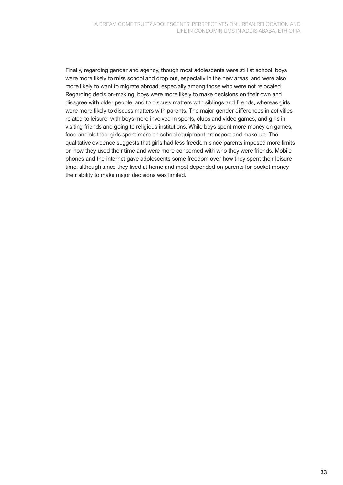Finally, regarding gender and agency, though most adolescents were still at school, boys were more likely to miss school and drop out, especially in the new areas, and were also more likely to want to migrate abroad, especially among those who were not relocated. Regarding decision-making, boys were more likely to make decisions on their own and disagree with older people, and to discuss matters with siblings and friends, whereas girls were more likely to discuss matters with parents. The major gender differences in activities related to leisure, with boys more involved in sports, clubs and video games, and girls in visiting friends and going to religious institutions. While boys spent more money on games, food and clothes, girls spent more on school equipment, transport and make-up. The qualitative evidence suggests that girls had less freedom since parents imposed more limits on how they used their time and were more concerned with who they were friends. Mobile phones and the internet gave adolescents some freedom over how they spent their leisure time, although since they lived at home and most depended on parents for pocket money their ability to make major decisions was limited.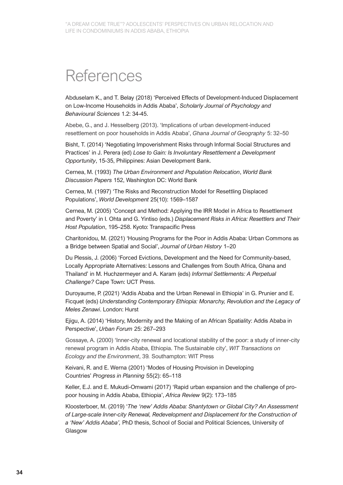### References

Abduselam K., and T. Belay (2018) 'Perceived Effects of Development-Induced Displacement on Low-Income Households in Addis Ababa', *Scholarly Journal of Psychology and Behavioural Sciences* 1.2: 34-45.

Abebe, G., and J. Hesselberg (2013). 'Implications of urban development-induced resettlement on poor households in Addis Ababa', *Ghana Journal of Geography* 5: 32–50

Bisht, T. (2014) 'Negotiating Impoverishment Risks through Informal Social Structures and Practices' in J. Perera (ed) *Lose to Gain: Is Involuntary Resettlement a Development Opportunity*, 15-35, Philippines: Asian Development Bank.

Cernea, M. (1993) *The Urban Environment and Population Relocation*, *World Bank Discussion Papers* 152, Washington DC: World Bank

Cernea, M. (1997) 'The Risks and Reconstruction Model for Resettling Displaced Populations', *World Development* 25(10): 1569–1587

Cernea, M. (2005) 'Concept and Method: Applying the IRR Model in Africa to Resettlement and Poverty' in I. Ohta and G. Yintiso (eds.) *Displacement Risks in Africa: Resettlers and Their Host Population*, 195–258. Kyoto: Transpacific Press

Charitonidou, M. (2021) 'Housing Programs for the Poor in Addis Ababa: Urban Commons as a Bridge between Spatial and Social', *Journal of Urban History* 1–20

Du Plessis, J. (2006) 'Forced Evictions, Development and the Need for Community-based, Locally Appropriate Alternatives: Lessons and Challenges from South Africa, Ghana and Thailand' in M. Huchzermeyer and A. Karam (eds) *Informal Settlements: A Perpetual Challenge?* Cape Town: UCT Press.

Duroyaume, P. (2021) 'Addis Ababa and the Urban Renewal in Ethiopia' in G. Prunier and E. Ficquet (eds) *Understanding Contemporary Ethiopia: Monarchy, Revolution and the Legacy of Meles Zenawi*. London: Hurst

Ejigu, A. (2014) 'History, Modernity and the Making of an African Spatiality: Addis Ababa in Perspective', *Urban Forum* 25: 267–293

Gossaye, A. (2000) 'Inner-city renewal and locational stability of the poor: a study of inner-city renewal program in Addis Ababa, Ethiopia. The Sustainable city', *WIT Transactions on Ecology and the Environment*, 39*.* Southampton: WIT Press

Keivani, R. and E. Werna (2001) 'Modes of Housing Provision in Developing Countries' *Progress in Planning* 55(2): 65–118

Keller, E.J. and E. Mukudi-Omwami (2017) 'Rapid urban expansion and the challenge of propoor housing in Addis Ababa, Ethiopia', *Africa Review* 9(2): 173–185

Kloosterboer, M. (2019) '*The 'new' Addis Ababa: Shantytown or Global City? An Assessment of Large-scale Inner-city Renewal, Redevelopment and Displacement for the Construction of a 'New' Addis Ababa',* PhD thesis, School of Social and Political Sciences, University of Glasgow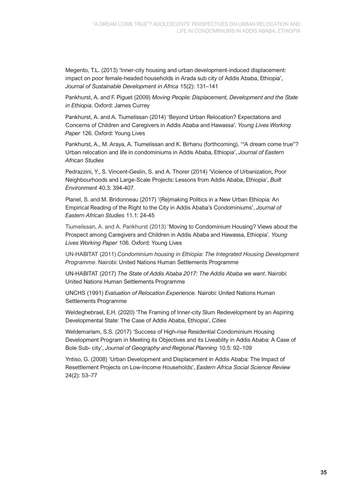Megento, T.L. (2013) 'Inner-city housing and urban development-induced displacement: impact on poor female-headed households in Arada sub city of Addis Ababa, Ethiopia', *Journal of Sustainable Development in Africa* 15(2): 131–141

Pankhurst, A. and F. Piguet (2009) *Moving People: Displacement, Development and the State in Ethiopia.* Oxford: James Currey

Pankhurst, A. and A. Tiumelissan (2014) 'Beyond Urban Relocation? Expectations and Concerns of Children and Caregivers in Addis Ababa and Hawassa'*. Young Lives Working Paper* 126. Oxford: Young Lives

Pankhurst, A., M. Araya, A. Tiumelissan and K. Birhanu (forthcoming). '"A dream come true"? Urban relocation and life in condominiums in Addis Ababa, Ethiopia', *Journal of Eastern African Studies*

Pedrazzini, Y., S. Vincent-Geslin, S. and A. Thorer (2014) 'Violence of Urbanization, Poor Neighbourhoods and Large-Scale Projects: Lessons from Addis Ababa, Ethiopia', *Built Environment* 40.3: 394-407.

Planel, S. and M. Bridonneau (2017) '(Re)making Politics in a New Urban Ethiopia: An Empirical Reading of the Right to the City in Addis Ababa's Condominiums', *Journal of Eastern African Studies* 11.1: 24-45

Tiumelissan, A. and A. Pankhurst (2013) 'Moving to Condominium Housing? Views about the Prospect among Caregivers and Children in Addis Ababa and Hawassa, Ethiopia'*. Young Lives Working Paper* 106. Oxford: Young Lives

UN-HABITAT (2011) *Condominium housing in Ethiopia: The Integrated Housing Development Programme*. Nairobi: United Nations Human Settlements Programme

UN-HABITAT (2017) *The State of Addis Ababa 2017: The Addis Ababa we want*. Nairobi: United Nations Human Settlements Programme

UNCHS (1991) *Evaluation of Relocation Experience.* Nairobi: United Nations Human Settlements Programme

Weldeghebrael, E.H. (2020) 'The Framing of Inner-city Slum Redevelopment by an Aspiring Developmental State: The Case of Addis Ababa, Ethiopia', *Cities*

Weldemariam, S.S. (2017) 'Success of High-rise Residential Condominium Housing Development Program in Meeting its Objectives and its Liveablity in Addis Ababa: A Case of Bole Sub- city', *Journal of Geography and Regional Planning* 10.5: 92–109

Yntiso, G. (2008) 'Urban Development and Displacement in Addis Ababa: The Impact of Resettlement Projects on Low-Income Households', *Eastern Africa Social Science Review*  24(2): 53–77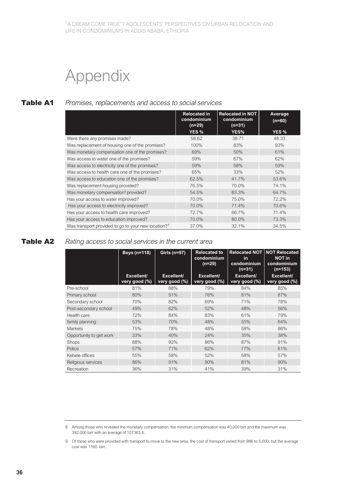# Appendix

#### Table A1 *Promises, replacements and access to social services*

|                                                                 | <b>Relocated in</b><br>condominium<br>(n=29) | <b>Relocated in NOT</b><br>condominium<br>$(n=31)$ | Average<br>$(n=60)$ |
|-----------------------------------------------------------------|----------------------------------------------|----------------------------------------------------|---------------------|
|                                                                 | YES <sub>%</sub>                             | YES%                                               | YES <sub>%</sub>    |
| Were there any promises made?                                   | 58.62                                        | 38.71                                              | 48.33               |
| Was replacement of housing one of the promises?                 | 100%                                         | 83%                                                | 93%                 |
| Was monetary compensation one of the promises?                  | 69%                                          | 50%                                                | 61%                 |
| Was access to water one of the promises?                        | 59%                                          | 67%                                                | 62%                 |
| Was access to electricity one of the promises?                  | 59%                                          | 58%                                                | 59%                 |
| Was access to health care one of the promises?                  | 65%                                          | 33%                                                | 52%                 |
| Was access to education one of the promises?                    | 62.5%                                        | 41.7%                                              | 53.6%               |
| Was replacement housing provided?                               | 76.5%                                        | 70.0%                                              | 74.1%               |
| Was monetary compensation <sup>8</sup> provided?                | 54.5%                                        | 83.3%                                              | 64.7%               |
| Has your access to water improved?                              | 70.0%                                        | 75.0%                                              | 72.2%               |
| Has your access to electricity improved?                        | 70.0%                                        | 71.4%                                              | 70.6%               |
| Has your access to health care improved?                        | 72.7%                                        | 66.7%                                              | 71.4%               |
| Has your access to education improved?                          | 70.0%                                        | 80.0%                                              | 73.3%               |
| Was transport provided to go to your new location? <sup>9</sup> | 37.0%                                        | 32.1%                                              | 34.5%               |

### Table A2 *Rating access to social services in the current area*

|                         | <b>Boys (n=118)</b>         | Girls (n=97)                | <b>Relocated to</b><br>condominium<br>$(n=29)$ | in.<br>condominium<br>$(n=31)$ | <b>Relocated NOT NOT Relocated</b><br><b>NOT in</b><br>condominium<br>(n=153) |
|-------------------------|-----------------------------|-----------------------------|------------------------------------------------|--------------------------------|-------------------------------------------------------------------------------|
|                         | Excellent/<br>very good (%) | Excellent/<br>very good (%) | Excellent/<br>very good (%)                    | Excellent/<br>very good (%)    | Excellent/<br>very good (%)                                                   |
| Pre-school              | 81%                         | 88%                         | 79%                                            | 84%                            | 85%                                                                           |
| Primary school          | 80%                         | 91%                         | 76%                                            | 81%                            | 87%                                                                           |
| Secondary school        | 70%                         | 82%                         | 69%                                            | 71%                            | 78%                                                                           |
| Post-secondary school   | 49%                         | 62%                         | 52%                                            | 48%                            | 56%                                                                           |
| Health care             | 72%                         | 84%                         | 83%                                            | 61%                            | 79%                                                                           |
| family planning         | 53%                         | 70%                         | 48%                                            | 55%                            | 64%                                                                           |
| <b>Markets</b>          | 75%                         | 78%                         | 48%                                            | 58%                            | 86%                                                                           |
| Opportunity to get work | 33%                         | 40%                         | 24%                                            | 35%                            | 38%                                                                           |
| Shops                   | 88%                         | 92%                         | 86%                                            | 87%                            | 91%                                                                           |
| Police                  | 57%                         | 71%                         | 62%                                            | 77%                            | 61%                                                                           |
| Kebele offices          | 55%                         | 58%                         | 52%                                            | 58%                            | 57%                                                                           |
| Religious services      | 86%                         | 91%                         | 90%                                            | 81%                            | 90%                                                                           |
| Recreation              | 36%                         | 31%                         | 41%                                            | 39%                            | 31%                                                                           |

<sup>8</sup> Among those who revealed the monetary compensation, the minimum compensation was 40,000 birr and the maximum was 392,000 birr with an average of 107363.6.

<sup>9</sup> Of those who were provided with transport to move to the new area, the cost of transport varied from 986 to 5,000, but the average cost was 1160. birr.